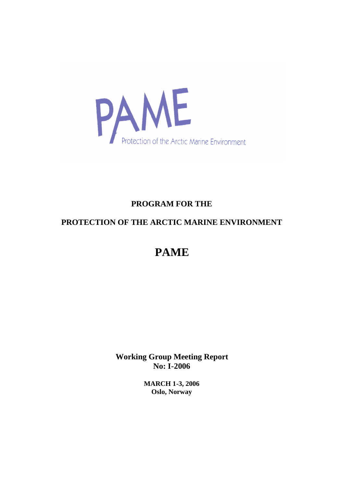

# **PROGRAM FOR THE**

# **PROTECTION OF THE ARCTIC MARINE ENVIRONMENT**

# **PAME**

**Working Group Meeting Report No: I-2006**

> **MARCH 1-3, 2006 Oslo, Norway**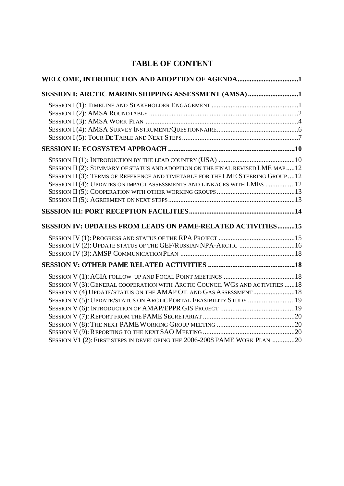# **TABLE OF CONTENT**

| WELCOME, INTRODUCTION AND ADOPTION OF AGENDA1                                  |  |
|--------------------------------------------------------------------------------|--|
| SESSION I: ARCTIC MARINE SHIPPING ASSESSMENT (AMSA)1                           |  |
|                                                                                |  |
|                                                                                |  |
|                                                                                |  |
|                                                                                |  |
|                                                                                |  |
|                                                                                |  |
|                                                                                |  |
| SESSION II (2): SUMMARY OF STATUS AND ADOPTION ON THE FINAL REVISED LME MAP 12 |  |
| SESSION II (3): TERMS OF REFERENCE AND TIMETABLE FOR THE LME STEERING GROUP12  |  |
| SESSION II (4): UPDATES ON IMPACT ASSESSMENTS AND LINKAGES WITH LMES 12        |  |
|                                                                                |  |
|                                                                                |  |
|                                                                                |  |
| SESSION IV: UPDATES FROM LEADS ON PAME-RELATED ACTIVITIES15                    |  |
|                                                                                |  |
| SESSION IV (2): UPDATE STATUS OF THE GEF/RUSSIAN NPA-ARCTIC 16                 |  |
|                                                                                |  |
|                                                                                |  |
|                                                                                |  |
| SESSION V (3): GENERAL COOPERATION WITH ARCTIC COUNCIL WGS AND ACTIVITIES 18   |  |
| SESSION V (4) UPDATE/STATUS ON THE AMAP OIL AND GAS ASSESSMENT 18              |  |
| SESSION V (5): UPDATE/STATUS ON ARCTIC PORTAL FEASIBILITY STUDY 19             |  |
|                                                                                |  |
|                                                                                |  |
|                                                                                |  |
|                                                                                |  |
| SESSION V1 (2): FIRST STEPS IN DEVELOPING THE 2006-2008 PAME WORK PLAN 20      |  |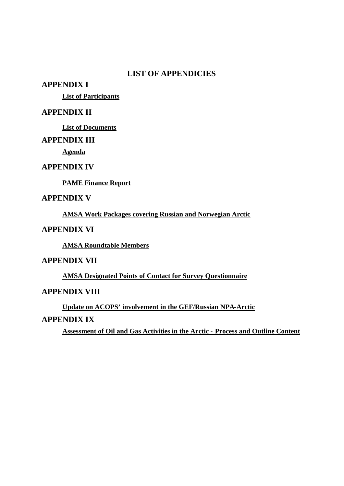# **LIST OF APPENDICIES**

## **APPENDIX I**

**List of Participants**

# **APPENDIX II**

**List of Documents**

# **APPENDIX III**

**Agenda**

## **APPENDIX IV**

**PAME Finance Report**

# **APPENDIX V**

**AMSA Work Packages covering Russian and Norwegian Arctic**

# **APPENDIX VI**

**AMSA Roundtable Members**

# **APPENDIX VII**

**AMSA Designated Points of Contact for Survey Questionnaire**

# **APPENDIX VIII**

**Update on ACOPS' involvement in the GEF/Russian NPA-Arctic**

# **APPENDIX IX**

**Assessment of Oil and Gas Activities in the Arctic - Process and Outline Content**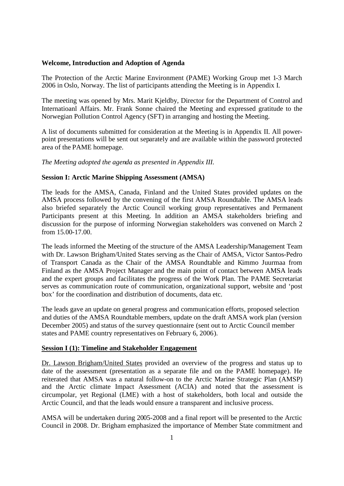### <span id="page-3-0"></span>**Welcome, Introduction and Adoption of Agenda**

The Protection of the Arctic Marine Environment (PAME) Working Group met 1-3 March 2006 in Oslo, Norway. The list of participants attending the Meeting is in Appendix I.

The meeting was opened by Mrs. Marit Kjeldby, Director for the Department of Control and Internatioanl Affairs. Mr. Frank Sonne chaired the Meeting and expressed gratitude to the Norwegian Pollution Control Agency (SFT) in arranging and hosting the Meeting.

A list of documents submitted for consideration at the Meeting is in Appendix II. All powerpoint presentations will be sent out separately and are available within the password protected area of the PAME homepage.

*The Meeting adopted the agenda as presented in Appendix III.*

## <span id="page-3-1"></span>**Session I: Arctic Marine Shipping Assessment (AMSA)**

The leads for the AMSA, Canada, Finland and the United States provided updates on the AMSA process followed by the convening of the first AMSA Roundtable. The AMSA leads also briefed separately the Arctic Council working group representatives and Permanent Participants present at this Meeting. In addition an AMSA stakeholders briefing and discussion for the purpose of informing Norwegian stakeholders was convened on March 2 from 15.00-17.00.

The leads informed the Meeting of the structure of the AMSA Leadership/Management Team with Dr. Lawson Brigham/United States serving as the Chair of AMSA, Victor Santos-Pedro of Transport Canada as the Chair of the AMSA Roundtable and Kimmo Juurmaa from Finland as the AMSA Project Manager and the main point of contact between AMSA leads and the expert groups and facilitates the progress of the Work Plan. The PAME Secretariat serves as communication route of communication, organizational support, website and 'post box' for the coordination and distribution of documents, data etc.

The leads gave an update on general progress and communication efforts, proposed selection and duties of the AMSA Roundtable members, update on the draft AMSA work plan (version December 2005) and status of the survey questionnaire (sent out to Arctic Council member states and PAME country representatives on February 6, 2006).

### <span id="page-3-2"></span>**Session I (1): Timeline and Stakeholder Engagement**

Dr. Lawson Brigham/United States provided an overview of the progress and status up to date of the assessment (presentation as a separate file and on the PAME homepage). He reiterated that AMSA was a natural follow-on to the Arctic Marine Strategic Plan (AMSP) and the Arctic climate Impact Assessment (ACIA) and noted that the assessment is circumpolar, yet Regional (LME) with a host of stakeholders, both local and outside the Arctic Council, and that the leads would ensure a transparent and inclusive process.

AMSA will be undertaken during 2005-2008 and a final report will be presented to the Arctic Council in 2008. Dr. Brigham emphasized the importance of Member State commitment and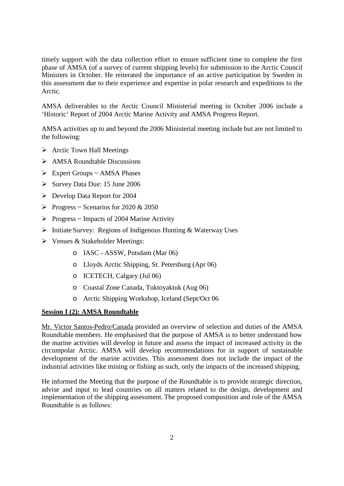timely support with the data collection effort to ensure sufficient time to complete the first phase of AMSA (of a survey of current shipping levels) for submission to the Arctic Council Ministers in October. He reiterated the importance of an active participation by Sweden in this assessment due to their experience and expertise in polar research and expeditions to the Arctic.

AMSA deliverables to the Arctic Council Ministerial meeting in October 2006 include a 'Historic' Report of 2004 Arctic Marine Activity and AMSA Progress Report.

AMSA activities up to and beyond the 2006 Ministerial meeting include but are not limited to the following:

- $\triangleright$  Arctic Town Hall Meetings
- $\triangleright$  AMSA Roundtable Discussions
- $\triangleright$  Expert Groups ~ AMSA Phases
- $\triangleright$  Survey Data Due: 15 June 2006
- Develop Data Report for 2004
- Progress ~ Scenarios for 2020 & 2050
- $\triangleright$  Progress ~ Impacts of 2004 Marine Activity
- $\triangleright$  Initiate Survey: Regions of Indigenous Hunting & Waterway Uses
- Venues & Stakeholder Meetings:
	- o IASC ASSW, Potsdam (Mar 06)
	- o Lloyds Arctic Shipping, St. Petersburg (Apr 06)
	- o ICETECH, Calgary (Jul 06)
	- o Coastal Zone Canada, Tuktoyaktuk (Aug 06)
	- o Arctic Shipping Workshop, Iceland (Sept/Oct 06

## <span id="page-4-0"></span>**Session I (2): AMSA Roundtable**

Mr. Victor Santos-Pedro/Canada provided an overview of selection and duties of the AMSA Roundtable members. He emphasised that the purpose of AMSA is to better understand how the marine activities will develop in future and assess the impact of increased activity in the circumpolar Arctic. AMSA will develop recommendations for in support of sustainable development of the marine activities. This assessment does not include the impact of the industrial activities like mining or fishing as such, only the impacts of the increased shipping.

He informed the Meeting that the purpose of the Roundtable is to provide strategic direction, advise and input to lead countries on all matters related to the design, development and implementation of the shipping assessment. The proposed composition and role of the AMSA Roundtable is as follows: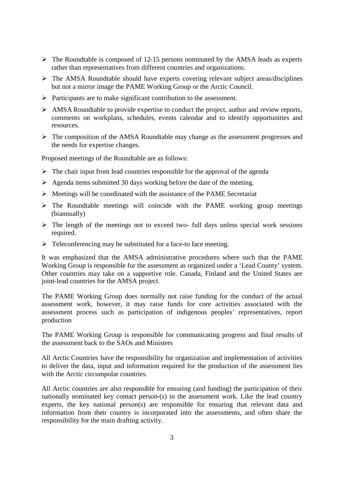- $\triangleright$  The Roundtable is composed of 12-15 persons nominated by the AMSA leads as experts rather than representatives from different countries and organizations.
- $\triangleright$  The AMSA Roundtable should have experts covering relevant subject areas/disciplines but not a mirror image the PAME Working Group or the Arctic Council.
- $\triangleright$  Participants are to make significant contribution to the assessment.
- AMSA Roundtable to provide expertise to conduct the project, author and review reports, comments on workplans, schedules, events calendar and to identify opportunities and resources.
- $\triangleright$  The composition of the AMSA Roundtable may change as the assessment progresses and the needs for expertise changes.

Proposed meetings of the Roundtable are as follows:

- $\triangleright$  The chair input from lead countries responsible for the approval of the agenda
- $\triangleright$  Agenda items submitted 30 days working before the date of the meeting.
- $\triangleright$  Meetings will be coordinated with the assistance of the PAME Secretariat
- $\triangleright$  The Roundtable meetings will coincide with the PAME working group meetings (biannually)
- $\triangleright$  The length of the meetings not to exceed two- full days unless special work sessions required.
- $\triangleright$  Teleconferencing may be substituted for a face-to face meeting.

It was emphasized that the AMSA administrative procedures where such that the PAME Working Group is responsible for the assessment as organized under a 'Lead County' system. Other countries may take on a supportive role. Canada, Finland and the United States are joint-lead countries for the AMSA project.

The PAME Working Group does normally not raise funding for the conduct of the actual assessment work, however, it may raise funds for core activities associated with the assessment process such as participation of indigenous peoples' representatives, report production

The PAME Working Group is responsible for communicating progress and final results of the assessment back to the SAOs and Ministers

All Arctic Countries have the responsibility for organization and implementation of activities to deliver the data, input and information required for the production of the assessment lies with the Arctic circumpolar countries.

All Arctic countries are also responsible for ensuring (and funding) the participation of their nationally nominated key contact person-(s) in the assessment work. Like the lead country experts, the key national person(s) are responsible for ensuring that relevant data and information from their country is incorporated into the assessments, and often share the responsibility for the main drafting activity.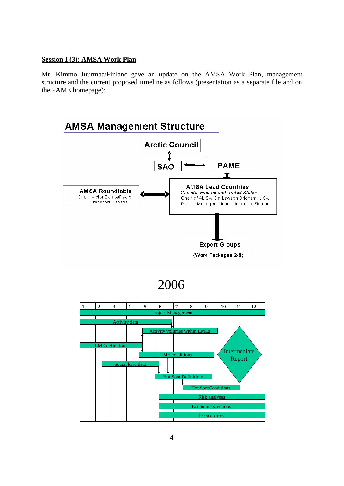## <span id="page-6-0"></span>**Session I (3): AMSA Work Plan**

Mr. Kimmo Juurmaa/Finland gave an update on the AMSA Work Plan, management structure and the current proposed timeline as follows (presentation as a separate file and on the PAME homepage):



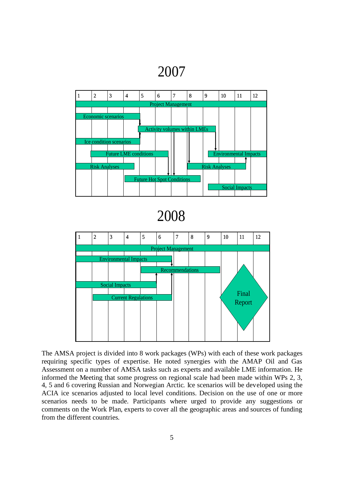2007



The AMSA project is divided into 8 work packages (WPs) with each of these work packages requiring specific types of expertise. He noted synergies with the AMAP Oil and Gas Assessment on a number of AMSA tasks such as experts and available LME information. He informed the Meeting that some progress on regional scale had been made within WPs 2, 3, 4, 5 and 6 covering Russian and Norwegian Arctic. Ice scenarios will be developed using the ACIA ice scenarios adjusted to local level conditions. Decision on the use of one or more scenarios needs to be made. Participants where urged to provide any suggestions or comments on the Work Plan, experts to cover all the geographic areas and sources of funding from the different countries.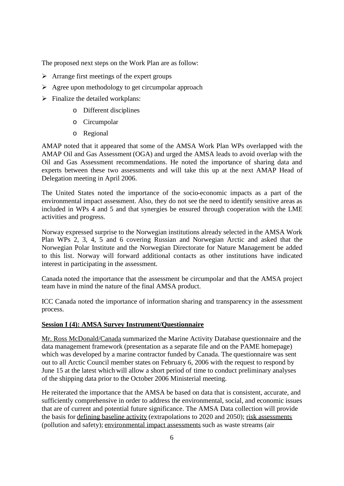The proposed next steps on the Work Plan are as follow:

- $\triangleright$  Arrange first meetings of the expert groups
- $\triangleright$  Agree upon methodology to get circumpolar approach
- $\triangleright$  Finalize the detailed workplans:
	- o Different disciplines
	- o Circumpolar
	- o Regional

AMAP noted that it appeared that some of the AMSA Work Plan WPs overlapped with the AMAP Oil and Gas Assessment (OGA) and urged the AMSA leads to avoid overlap with the Oil and Gas Assessment recommendations. He noted the importance of sharing data and experts between these two assessments and will take this up at the next AMAP Head of Delegation meeting in April 2006.

The United States noted the importance of the socio-economic impacts as a part of the environmental impact assessment. Also, they do not see the need to identify sensitive areas as included in WPs 4 and 5 and that synergies be ensured through cooperation with the LME activities and progress.

Norway expressed surprise to the Norwegian institutions already selected in the AMSA Work Plan WPs 2, 3, 4, 5 and 6 covering Russian and Norwegian Arctic and asked that the Norwegian Polar Institute and the Norwegian Directorate for Nature Management be added to this list. Norway will forward additional contacts as other institutions have indicated interest in participating in the assessment.

Canada noted the importance that the assessment be circumpolar and that the AMSA project team have in mind the nature of the final AMSA product.

ICC Canada noted the importance of information sharing and transparency in the assessment process.

## <span id="page-8-0"></span>**Session I (4): AMSA Survey Instrument/Questionnaire**

Mr. Ross McDonald/Canada summarized the Marine Activity Database questionnaire and the data management framework (presentation as a separate file and on the PAME homepage) which was developed by a marine contractor funded by Canada. The questionnaire was sent out to all Arctic Council member states on February 6, 2006 with the request to respond by June 15 at the latest which will allow a short period of time to conduct preliminary analyses of the shipping data prior to the October 2006 Ministerial meeting.

He reiterated the importance that the AMSA be based on data that is consistent, accurate, and sufficiently comprehensive in order to address the environmental, social, and economic issues that are of current and potential future significance. The AMSA Data collection will provide the basis for defining baseline activity (extrapolations to 2020 and 2050); risk assessments (pollution and safety); environmental impact assessments such as waste streams (air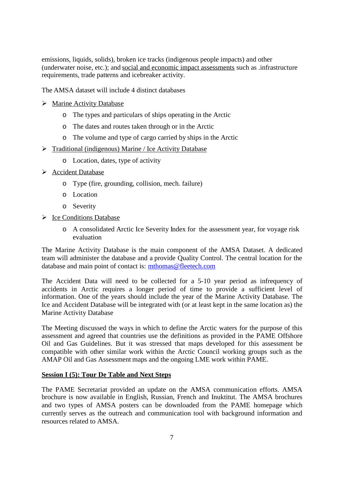emissions, liquids, solids), broken ice tracks (indigenous people impacts) and other (underwater noise, etc.); and social and economic impact assessments such as .infrastructure requirements, trade patterns and icebreaker activity.

The AMSA dataset will include 4 distinct databases

- $\triangleright$  Marine Activity Database
	- o The types and particulars of ships operating in the Arctic
	- o The dates and routes taken through or in the Arctic
	- o The volume and type of cargo carried by ships in the Arctic
- $\triangleright$  Traditional (indigenous) Marine / Ice Activity Database
	- o Location, dates, type of activity
- $\triangleright$  Accident Database
	- o Type (fire, grounding, collision, mech. failure)
	- o Location
	- o Severity
- > Ice Conditions Database
	- o A consolidated Arctic Ice Severity Index for the assessment year, for voyage risk evaluation

The Marine Activity Database is the main component of the AMSA Dataset. A dedicated team will administer the database and a provide Quality Control. The central location for the database and main point of contact is: [mthomas@fleetech.com](mailto:mthomas@fleetech.com)

The Accident Data will need to be collected for a 5-10 year period as infrequency of accidents in Arctic requires a longer period of time to provide a sufficient level of information. One of the years should include the year of the Marine Activity Database. The Ice and Accident Database will be integrated with (or at least kept in the same location as) the Marine Activity Database

The Meeting discussed the ways in which to define the Arctic waters for the purpose of this assessment and agreed that countries use the definitions as provided in the PAME Offshore Oil and Gas Guidelines. But it was stressed that maps developed for this assessment be compatible with other similar work within the Arctic Council working groups such as the AMAP Oil and Gas Assessment maps and the ongoing LME work within PAME.

## <span id="page-9-0"></span>**Session I (5): Tour De Table and Next Steps**

The PAME Secretariat provided an update on the AMSA communication efforts. AMSA brochure is now available in English, Russian, French and Inuktitut. The AMSA brochures and two types of AMSA posters can be downloaded from the PAME homepage which currently serves as the outreach and communication tool with background information and resources related to AMSA.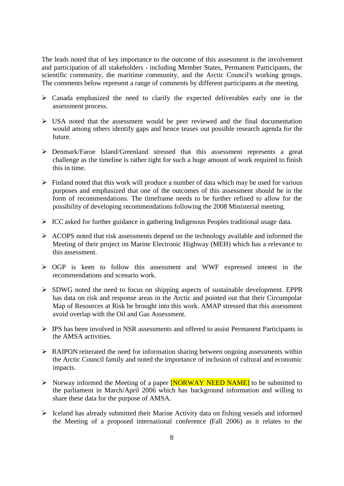The leads noted that of key importance to the outcome of this assessment is the involvement and participation of all stakeholders - including Member States, Permanent Participants, the scientific community, the maritime community, and the Arctic Council's working groups. The comments below represent a range of comments by different participants at the meeting.

- $\triangleright$  Canada emphasized the need to clarify the expected deliverables early one in the assessment process.
- $\triangleright$  USA noted that the assessment would be peer reviewed and the final documentation would among others identify gaps and hence teases out possible research agenda for the future.
- Denmark/Faroe Island/Greenland stressed that this assessment represents a great challenge as the timeline is rather tight for such a huge amount of work required to finish this in time.
- $\triangleright$  Finland noted that this work will produce a number of data which may be used for various purposes and emphasized that one of the outcomes of this assessment should be in the form of recommendations. The timeframe needs to be further refined to allow for the possibility of developing recommendations following the 2008 Ministerial meeting.
- $\triangleright$  ICC asked for further guidance in gathering Indigenous Peoples traditional usage data.
- $\triangleright$  ACOPS noted that risk assessments depend on the technology available and informed the Meeting of their project on Marine Electronic Highway (MEH) which has a relevance to this assessment.
- OGP is keen to follow this assessment and WWF expressed interest in the recommendations and scenario work.
- $\triangleright$  SDWG noted the need to focus on shipping aspects of sustainable development. EPPR has data on risk and response areas in the Arctic and pointed out that their Circumpolar Map of Resources at Risk be brought into this work. AMAP stressed that this assessment avoid overlap with the Oil and Gas Assessment.
- IPS has been involved in NSR assessments and offered to assist Permanent Participants in the AMSA activities.
- $\triangleright$  RAIPON reiterated the need for information sharing between ongoing assessments within the Arctic Council family and noted the importance of inclusion of cultural and economic impacts.
- $\triangleright$  Norway informed the Meeting of a paper **[NORWAY NEED NAME]** to be submitted to the parliament in March/April 2006 which has background information and willing to share these data for the purpose of AMSA.
- $\triangleright$  Iceland has already submitted their Marine Activity data on fishing vessels and informed the Meeting of a proposed international conference (Fall 2006) as it relates to the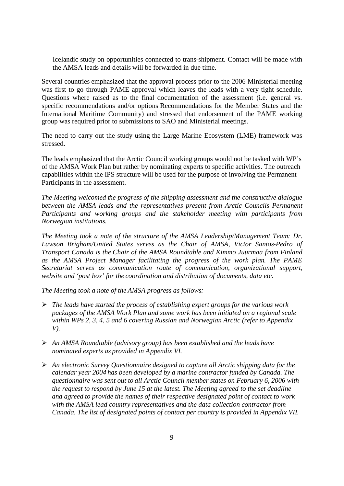Icelandic study on opportunities connected to trans-shipment. Contact will be made with the AMSA leads and details will be forwarded in due time.

Several countries emphasized that the approval process prior to the 2006 Ministerial meeting was first to go through PAME approval which leaves the leads with a very tight schedule. Questions where raised as to the final documentation of the assessment (i.e. general vs. specific recommendations and/or options Recommendations for the Member States and the International Maritime Community) and stressed that endorsement of the PAME working group was required prior to submissions to SAO and Ministerial meetings.

The need to carry out the study using the Large Marine Ecosystem (LME) framework was stressed.

The leads emphasized that the Arctic Council working groups would not be tasked with WP's of the AMSA Work Plan but rather by nominating experts to specific activities. The outreach capabilities within the IPS structure will be used for the purpose of involving the Permanent Participants in the assessment.

*The Meeting welcomed the progress of the shipping assessment and the constructive dialogue between the AMSA leads and the representatives present from Arctic Councils Permanent Participants and working groups and the stakeholder meeting with participants from Norwegian institutions.*

*The Meeting took a note of the structure of the AMSA Leadership/Management Team: Dr. Lawson Brigham/United States serves as the Chair of AMSA, Victor Santos-Pedro of Transport Canada is the Chair of the AMSA Roundtable and Kimmo Juurmaa from Finland as the AMSA Project Manager facilitating the progress of the work plan. The PAME Secretariat serves as communication route of communication, organizational support, website and 'post box' for the coordination and distribution of documents, data etc.*

*The Meeting took a note of the AMSA progress as follows:*

- *The leads have started the process of establishing expert groups for the various work packages of the AMSA Work Plan and some work has been initiated on a regional scale within WPs 2, 3, 4, 5 and 6 covering Russian and Norwegian Arctic (refer to Appendix V).*
- *An AMSA Roundtable (advisory group) has been established and the leads have nominated experts as provided in Appendix VI.*
- *An electronic Survey Questionnaire designed to capture all Arctic shipping data for the calendar year 2004 has been developed by a marine contractor funded by Canada. The questionnaire was sent out to all Arctic Council member states on February 6, 2006 with the request to respond by June 15 at the latest. The Meeting agreed to the set deadline and agreed to provide the names of their respective designated point of contact to work with the AMSA lead country representatives and the data collection contractor from Canada. The list of designated points of contact per country is provided in Appendix VII.*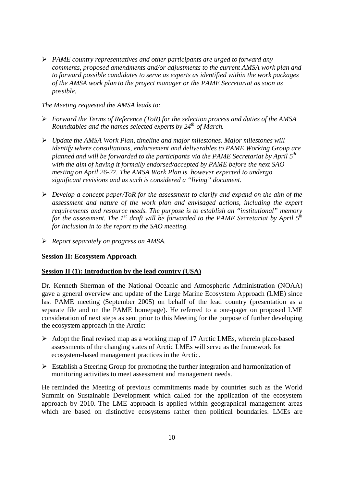*PAME country representatives and other participants are urged to forward any comments, proposed amendments and/or adjustments to the current AMSA work plan and to forward possible candidates to serve as experts as identified within the work packages of the AMSA work plan to the project manager or the PAME Secretariat as soon as possible.*

*The Meeting requested the AMSA leads to:*

- *Forward the Terms of Reference (ToR) for the selection process and duties of the AMSA Roundtables and the names selected experts by 24th of March.*
- *Update the AMSA Work Plan, timeline and major milestones. Major milestones will identify where consultations, endorsement and deliverables to PAME Working Group are planned and will be forwarded to the participants via the PAME Secretariat by April 5th with the aim of having it formally endorsed/accepted by PAME before the next SAO meeting on April 26-27. The AMSA Work Plan is however expected to undergo significant revisions and as such is considered a "living" document.*
- *Develop a concept paper/ToR for the assessment to clarify and expand on the aim of the assessment and nature of the work plan and envisaged actions, including the expert requirements and resource needs. The purpose is to establish an "institutional" memory for the assessment. The 1st draft will be forwarded to the PAME Secretariat by April 5th for inclusion in to the report to the SAO meeting.*
- *Report separately on progress on AMSA.*

## <span id="page-12-0"></span>**Session II: Ecosystem Approach**

## <span id="page-12-1"></span>**Session II (1): Introduction by the lead country (USA)**

Dr. Kenneth Sherman of the National Oceanic and Atmospheric Administration (NOAA) gave a general overview and update of the Large Marine Ecosystem Approach (LME) since last PAME meeting (September 2005) on behalf of the lead country (presentation as a separate file and on the PAME homepage). He referred to a one-pager on proposed LME consideration of next steps as sent prior to this Meeting for the purpose of further developing the ecosystem approach in the Arctic:

- $\triangleright$  Adopt the final revised map as a working map of 17 Arctic LMEs, wherein place-based assessments of the changing states of Arctic LMEs will serve as the framework for ecosystem-based management practices in the Arctic.
- Establish a Steering Group for promoting the further integration and harmonization of monitoring activities to meet assessment and management needs.

He reminded the Meeting of previous commitments made by countries such as the World Summit on Sustainable Development which called for the application of the ecosystem approach by 2010. The LME approach is applied within geographical management areas which are based on distinctive ecosystems rather then political boundaries. LMEs are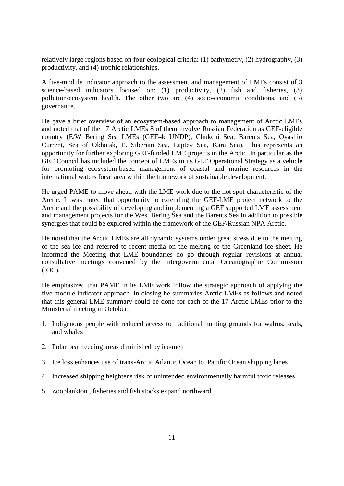relatively large regions based on four ecological criteria: (1) bathymetry, (2) hydrography, (3) productivity, and (4) trophic relationships.

A five-module indicator approach to the assessment and management of LMEs consist of 3 science-based indicators focused on: (1) productivity, (2) fish and fisheries, (3) pollution/ecosystem health. The other two are (4) socio-economic conditions, and (5) governance.

He gave a brief overview of an ecosystem-based approach to management of Arctic LMEs and noted that of the 17 Arctic LMEs 8 of them involve Russian Federation as GEF-eligible country (E/W Bering Sea LMEs (GEF-4: UNDP), Chukchi Sea, Barents Sea, Oyashio Current, Sea of Okhotsk, E. Siberian Sea, Laptev Sea, Kara Sea). This represents an opportunity for further exploring GEF-funded LME projects in the Arctic. In particular as the GEF Council has included the concept of LMEs in its GEF Operational Strategy as a vehicle for promoting ecosystem-based management of coastal and marine resources in the international waters focal area within the framework of sustainable development.

He urged PAME to move ahead with the LME work due to the hot-spot characteristic of the Arctic. It was noted that opportunity to extending the GEF-LME project network to the Arctic and the possibility of developing and implementing a GEF supported LME assessment and management projects for the West Bering Sea and the Barents Sea in addition to possible synergies that could be explored within the framework of the GEF/Russian NPA-Arctic.

He noted that the Arctic LMEs are all dynamic systems under great stress due to the melting of the sea ice and referred to recent media on the melting of the Greenland ice sheet. He informed the Meeting that LME boundaries do go through regular revisions at annual consultative meetings convened by the Intergovernmental Oceanographic Commission (IOC).

He emphasized that PAME in its LME work follow the strategic approach of applying the five-module indicator approach. In closing he summaries Arctic LMEs as follows and noted that this general LME summary could be done for each of the 17 Arctic LMEs prior to the Ministerial meeting in October:

- 1. Indigenous people with reduced access to traditional hunting grounds for walrus, seals, and whales
- 2. Polar bear feeding areas diminished by ice-melt
- 3. Ice loss enhances use of trans-Arctic Atlantic Ocean to Pacific Ocean shipping lanes
- 4. Increased shipping heightens risk of unintended environmentally harmful toxic releases
- 5. Zooplankton , fisheries and fish stocks expand northward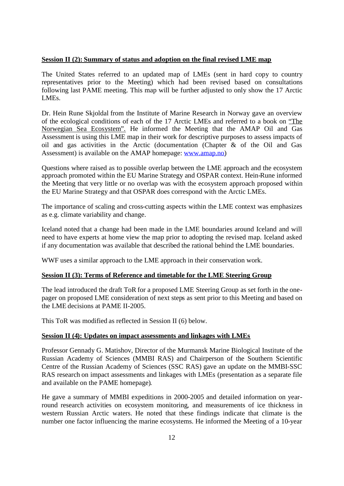## <span id="page-14-0"></span>**Session II (2): Summary of status and adoption on the final revised LME map**

The United States referred to an updated map of LMEs (sent in hard copy to country representatives prior to the Meeting) which had been revised based on consultations following last PAME meeting. This map will be further adjusted to only show the 17 Arctic LME<sub>s</sub>

Dr. Hein Rune Skjoldal from the Institute of Marine Research in Norway gave an overview of the ecological conditions of each of the 17 Arctic LMEs and referred to a book on "The Norwegian Sea Ecosystem". He informed the Meeting that the AMAP Oil and Gas Assessment is using this LME map in their work for descriptive purposes to assess impacts of oil and gas activities in the Arctic (documentation (Chapter & of the Oil and Gas Assessment) is available on the AMAP homepage: [www.amap.no\)](http://www.amap.no/)

Questions where raised as to possible overlap between the LME approach and the ecosystem approach promoted within the EU Marine Strategy and OSPAR context. Hein-Rune informed the Meeting that very little or no overlap was with the ecosystem approach proposed within the EU Marine Strategy and that OSPAR does correspond with the Arctic LMEs.

The importance of scaling and cross-cutting aspects within the LME context was emphasizes as e.g. climate variability and change.

Iceland noted that a change had been made in the LME boundaries around Iceland and will need to have experts at home view the map prior to adopting the revised map. Iceland asked if any documentation was available that described the rational behind the LME boundaries.

WWF uses a similar approach to the LME approach in their conservation work.

## <span id="page-14-1"></span>**Session II (3): Terms of Reference and timetable for the LME Steering Group**

The lead introduced the draft ToR for a proposed LME Steering Group as set forth in the onepager on proposed LME consideration of next steps as sent prior to this Meeting and based on the LME decisions at PAME II-2005.

This ToR was modified as reflected in Session II (6) below.

## <span id="page-14-2"></span>**Session II (4): Updates on impact assessments and linkages with LMEs**

Professor Gennady G. Matishov, Director of the Murmansk Marine Biological Institute of the Russian Academy of Sciences (MMBI RAS) and Chairperson of the Southern Scientific Centre of the Russian Academy of Sciences (SSC RAS) gave an update on the MMBI-SSC RAS research on impact assessments and linkages with LMEs (presentation as a separate file and available on the PAME homepage).

He gave a summary of MMBI expeditions in 2000-2005 and detailed information on yearround research activities on ecosystem monitoring, and measurements of ice thickness in western Russian Arctic waters. He noted that these findings indicate that climate is the number one factor influencing the marine ecosystems. He informed the Meeting of a 10-year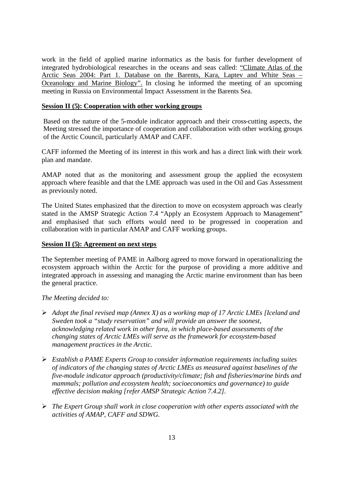work in the field of applied marine informatics as the basis for further development of integrated hydrobiological researches in the oceans and seas called: "Climate Atlas of the Arctic Seas 2004: Part 1. Database on the Barents, Kara, Laptev and White Seas – Oceanology and Marine Biology". In closing he informed the meeting of an upcoming meeting in Russia on Environmental Impact Assessment in the Barents Sea.

## <span id="page-15-0"></span>**Session II (5): Cooperation with other working groups**

Based on the nature of the 5-module indicator approach and their cross-cutting aspects, the Meeting stressed the importance of cooperation and collaboration with other working groups of the Arctic Council, particularly AMAP and CAFF.

CAFF informed the Meeting of its interest in this work and has a direct link with their work plan and mandate.

AMAP noted that as the monitoring and assessment group the applied the ecosystem approach where feasible and that the LME approach was used in the Oil and Gas Assessment as previously noted.

The United States emphasized that the direction to move on ecosystem approach was clearly stated in the AMSP Strategic Action 7.4 "Apply an Ecosystem Approach to Management" and emphasised that such efforts would need to be progressed in cooperation and collaboration with in particular AMAP and CAFF working groups.

## <span id="page-15-1"></span>**Session II (5): Agreement on next steps**

The September meeting of PAME in Aalborg agreed to move forward in operationalizing the ecosystem approach within the Arctic for the purpose of providing a more additive and integrated approach in assessing and managing the Arctic marine environment than has been the general practice.

## *The Meeting decided to:*

- *Adopt the final revised map (Annex X) as a working map of 17 Arctic LMEs [Iceland and Sweden took a "study reservation" and will provide an answer the soonest, acknowledging related work in other fora, in which place-based assessments of the changing states of Arctic LMEs will serve as the framework for ecosystem-based management practices in the Arctic.*
- *Establish a PAME Experts Group to consider information requirements including suites of indicators of the changing states of Arctic LMEs as measured against baselines of the five-module indicator approach (productivity/climate; fish and fisheries/marine birds and mammals; pollution and ecosystem health; socioeconomics and governance) to guide effective decision making [refer AMSP Strategic Action 7.4.2].*
- *The Expert Group shall work in close cooperation with other experts associated with the activities of AMAP, CAFF and SDWG.*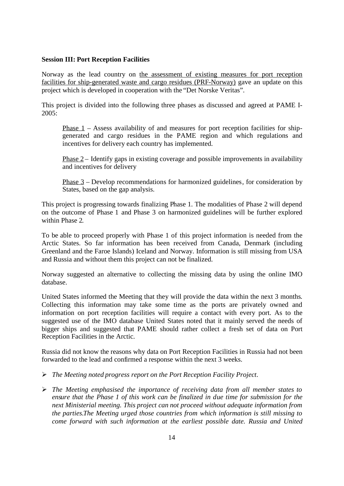## <span id="page-16-0"></span>**Session III: Port Reception Facilities**

Norway as the lead country on the assessment of existing measures for port reception facilities for ship-generated waste and cargo residues (PRF-Norway) gave an update on this project which is developed in cooperation with the "Det Norske Veritas".

This project is divided into the following three phases as discussed and agreed at PAME I-2005:

Phase 1 – Assess availability of and measures for port reception facilities for shipgenerated and cargo residues in the PAME region and which regulations and incentives for delivery each country has implemented.

Phase  $2$  – Identify gaps in existing coverage and possible improvements in availability and incentives for delivery

Phase 3 – Develop recommendations for harmonized guidelines, for consideration by States, based on the gap analysis.

This project is progressing towards finalizing Phase 1. The modalities of Phase 2 will depend on the outcome of Phase 1 and Phase 3 on harmonized guidelines will be further explored within Phase 2.

To be able to proceed properly with Phase 1 of this project information is needed from the Arctic States. So far information has been received from Canada, Denmark (including Greenland and the Faroe Islands) Iceland and Norway. Information is still missing from USA and Russia and without them this project can not be finalized.

Norway suggested an alternative to collecting the missing data by using the online IMO database.

United States informed the Meeting that they will provide the data within the next 3 months. Collecting this information may take some time as the ports are privately owned and information on port reception facilities will require a contact with every port. As to the suggested use of the IMO database United States noted that it mainly served the needs of bigger ships and suggested that PAME should rather collect a fresh set of data on Port Reception Facilities in the Arctic.

Russia did not know the reasons why data on Port Reception Facilities in Russia had not been forwarded to the lead and confirmed a response within the next 3 weeks.

- *The Meeting noted progress report on the Port Reception Facility Project.*
- *The Meeting emphasised the importance of receiving data from all member states to ensure that the Phase 1 of this work can be finalized in due time for submission for the next Ministerial meeting. This project can not proceed without adequate information from the parties.The Meeting urged those countries from which information is still missing to come forward with such information at the earliest possible date. Russia and United*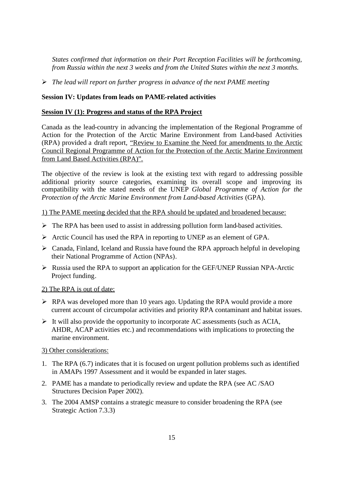*States confirmed that information on their Port Reception Facilities will be forthcoming, from Russia within the next 3 weeks and from the United States within the next 3 months.*

*The lead will report on further progress in advance of the next PAME meeting*

## **Session IV: Updates from leads on PAME-related activities**

## <span id="page-17-0"></span>**Session IV (1): Progress and status of the RPA Project**

<span id="page-17-1"></span>Canada as the lead-country in advancing the implementation of the Regional Programme of Action for the Protection of the Arctic Marine Environment from Land-based Activities (RPA) provided a draft report, "Review to Examine the Need for amendments to the Arctic Council Regional Programme of Action for the Protection of the Arctic Marine Environment from Land Based Activities (RPA)".

The objective of the review is look at the existing text with regard to addressing possible additional priority source categories, examining its overall scope and improving its compatibility with the stated needs of the UNEP *Global Programme of Action for the Protection of the Arctic Marine Environment from Land-based Activities* (GPA).

### 1) The PAME meeting decided that the RPA should be updated and broadened because:

- $\triangleright$  The RPA has been used to assist in addressing pollution form land-based activities.
- $\triangleright$  Arctic Council has used the RPA in reporting to UNEP as an element of GPA.
- $\triangleright$  Canada, Finland, Iceland and Russia have found the RPA approach helpful in developing their National Programme of Action (NPAs).
- $\triangleright$  Russia used the RPA to support an application for the GEF/UNEP Russian NPA-Arctic Project funding.

## 2) The RPA is out of date:

- $\triangleright$  RPA was developed more than 10 years ago. Updating the RPA would provide a more current account of circumpolar activities and priority RPA contaminant and habitat issues.
- $\triangleright$  It will also provide the opportunity to incorporate AC assessments (such as ACIA, AHDR, ACAP activities etc.) and recommendations with implications to protecting the marine environment.

## 3) Other considerations:

- 1. The RPA (6.7) indicates that it is focused on urgent pollution problems such as identified in AMAPs 1997 Assessment and it would be expanded in later stages.
- 2. PAME has a mandate to periodically review and update the RPA (see AC /SAO Structures Decision Paper 2002).
- 3. The 2004 AMSP contains a strategic measure to consider broadening the RPA (see Strategic Action 7.3.3)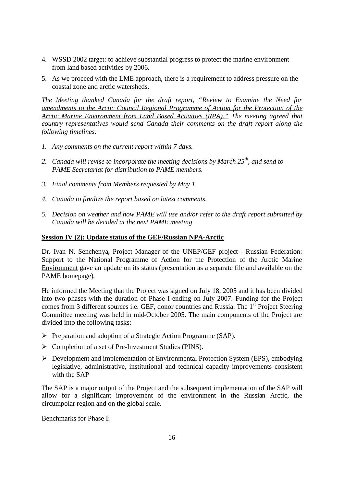- 4. WSSD 2002 target: to achieve substantial progress to protect the marine environment from land-based activities by 2006.
- 5. As we proceed with the LME approach, there is a requirement to address pressure on the coastal zone and arctic watersheds.

*The Meeting thanked Canada for the draft report, "Review to Examine the Need for amendments to the Arctic Council Regional Programme of Action for the Protection of the Arctic Marine Environment from Land Based Activities (RPA)." The meeting agreed that country representatives would send Canada their comments on the draft report along the following timelines:*

- *1. Any comments on the current report within 7 days.*
- *2. Canada will revise to incorporate the meeting decisions by March 25th, and send to PAME Secretariat for distribution to PAME members.*
- *3. Final comments from Members requested by May 1.*
- *4. Canada to finalize the report based on latest comments.*
- *5. Decision on weather and how PAME will use and/or refer to the draft report submitted by Canada will be decided at the next PAME meeting*

## **Session IV (2): Update status of the GEF/Russian NPA-Arctic**

<span id="page-18-0"></span>Dr. Ivan N. Senchenya, Project Manager of the UNEP/GEF project - Russian Federation: Support to the National Programme of Action for the Protection of the Arctic Marine Environment gave an update on its status (presentation as a separate file and available on the PAME homepage).

He informed the Meeting that the Project was signed on July 18, 2005 and it has been divided into two phases with the duration of Phase I ending on July 2007. Funding for the Project comes from 3 different sources i.e. GEF, donor countries and Russia. The 1<sup>st</sup> Project Steering Committee meeting was held in mid-October 2005. The main components of the Project are divided into the following tasks:

- Preparation and adoption of a Strategic Action Programme (SAP).
- $\triangleright$  Completion of a set of Pre-Investment Studies (PINS).
- Development and implementation of Environmental Protection System (EPS), embodying legislative, administrative, institutional and technical capacity improvements consistent with the SAP

The SAP is a major output of the Project and the subsequent implementation of the SAP will allow for a significant improvement of the environment in the Russian Arctic, the circumpolar region and on the global scale.

Benchmarks for Phase I: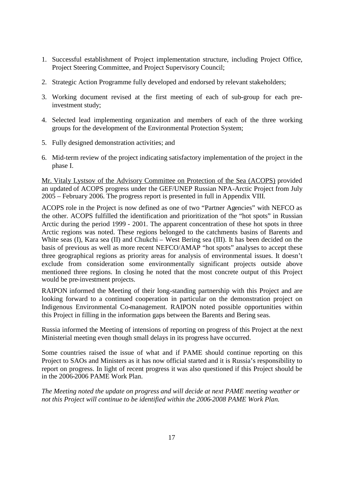- 1. Successful establishment of Project implementation structure, including Project Office, Project Steering Committee, and Project Supervisory Council;
- 2. Strategic Action Programme fully developed and endorsed by relevant stakeholders;
- 3. Working document revised at the first meeting of each of sub-group for each preinvestment study;
- 4. Selected lead implementing organization and members of each of the three working groups for the development of the Environmental Protection System;
- 5. Fully designed demonstration activities; and
- 6. Mid-term review of the project indicating satisfactory implementation of the project in the phase I.

Mr. Vitaly Lystsov of the Advisory Committee on Protection of the Sea (ACOPS) provided an updated of ACOPS progress under the GEF/UNEP Russian NPA-Arctic Project from July 2005 – February 2006. The progress report is presented in full in Appendix VIII.

ACOPS role in the Project is now defined as one of two "Partner Agencies" with NEFCO as the other. ACOPS fulfilled the identification and prioritization of the "hot spots" in Russian Arctic during the period 1999 - 2001. The apparent concentration of these hot spots in three Arctic regions was noted. These regions belonged to the catchments basins of Barents and White seas (I), Kara sea (II) and Chukchi – West Bering sea (III). It has been decided on the basis of previous as well as more recent NEFCO/AMAP "hot spots" analyses to accept these three geographical regions as priority areas for analysis of environmental issues. It doesn't exclude from consideration some environmentally significant projects outside above mentioned three regions. In closing he noted that the most concrete output of this Project would be pre-investment projects.

RAIPON informed the Meeting of their long-standing partnership with this Project and are looking forward to a continued cooperation in particular on the demonstration project on Indigenous Environmental Co-management. RAIPON noted possible opportunities within this Project in filling in the information gaps between the Barents and Bering seas.

Russia informed the Meeting of intensions of reporting on progress of this Project at the next Ministerial meeting even though small delays in its progress have occurred.

Some countries raised the issue of what and if PAME should continue reporting on this Project to SAOs and Ministers as it has now official started and it is Russia's responsibility to report on progress. In light of recent progress it was also questioned if this Project should be in the 2006-2006 PAME Work Plan.

*The Meeting noted the update on progress and will decide at next PAME meeting weather or not this Project will continue to be identified within the 2006-2008 PAME Work Plan.*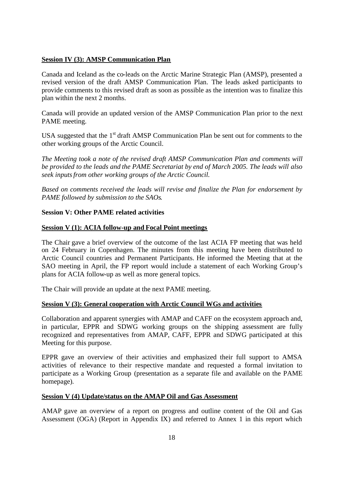## <span id="page-20-0"></span>**Session IV (3): AMSP Communication Plan**

Canada and Iceland as the co-leads on the Arctic Marine Strategic Plan (AMSP), presented a revised version of the draft AMSP Communication Plan. The leads asked participants to provide comments to this revised draft as soon as possible as the intention was to finalize this plan within the next 2 months.

Canada will provide an updated version of the AMSP Communication Plan prior to the next PAME meeting.

USA suggested that the  $1<sup>st</sup>$  draft AMSP Communication Plan be sent out for comments to the other working groups of the Arctic Council.

*The Meeting took a note of the revised draft AMSP Communication Plan and comments will be provided to the leads and the PAME Secretariat by end of March 2005. The leads will also seek inputsfrom other working groups of the Arctic Council.*

*Based on comments received the leads will revise and finalize the Plan for endorsement by PAME followed by submission to the SAOs.*

## <span id="page-20-1"></span>**Session V: Other PAME related activities**

## <span id="page-20-2"></span>**Session V (1): ACIA follow-up and Focal Point meetings**

The Chair gave a brief overview of the outcome of the last ACIA FP meeting that was held on 24 February in Copenhagen. The minutes from this meeting have been distributed to Arctic Council countries and Permanent Participants. He informed the Meeting that at the SAO meeting in April, the FP report would include a statement of each Working Group's plans for ACIA follow-up as well as more general topics.

The Chair will provide an update at the next PAME meeting.

## <span id="page-20-3"></span>**Session V (3): General cooperation with Arctic Council WGs and activities**

Collaboration and apparent synergies with AMAP and CAFF on the ecosystem approach and, in particular, EPPR and SDWG working groups on the shipping assessment are fully recognized and representatives from AMAP, CAFF, EPPR and SDWG participated at this Meeting for this purpose.

EPPR gave an overview of their activities and emphasized their full support to AMSA activities of relevance to their respective mandate and requested a formal invitation to participate as a Working Group (presentation as a separate file and available on the PAME homepage).

## <span id="page-20-4"></span>**Session V (4) Update/status on the AMAP Oil and Gas Assessment**

AMAP gave an overview of a report on progress and outline content of the Oil and Gas Assessment (OGA) (Report in Appendix IX) and referred to Annex 1 in this report which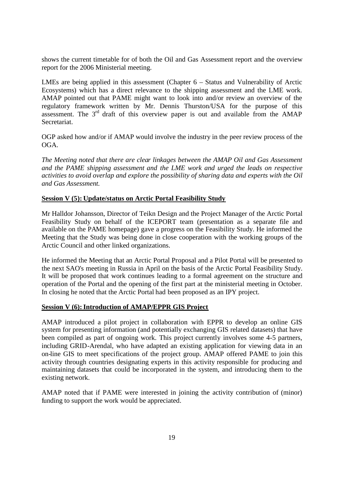shows the current timetable for of both the Oil and Gas Assessment report and the overview report for the 2006 Ministerial meeting.

LMEs are being applied in this assessment (Chapter 6 – Status and Vulnerability of Arctic Ecosystems) which has a direct relevance to the shipping assessment and the LME work. AMAP pointed out that PAME might want to look into and/or review an overview of the regulatory framework written by Mr. Dennis Thurston/USA for the purpose of this assessment. The 3<sup>rd</sup> draft of this overview paper is out and available from the AMAP Secretariat.

OGP asked how and/or if AMAP would involve the industry in the peer review process of the OGA.

*The Meeting noted that there are clear linkages between the AMAP Oil and Gas Assessment and the PAME shipping assessment and the LME work and urged the leads on respective activities to avoid overlap and explore the possibility of sharing data and experts with the Oil and Gas Assessment.*

## <span id="page-21-0"></span>**Session V (5): Update/status on Arctic Portal Feasibility Study**

Mr Halldor Johansson, Director of Teikn Design and the Project Manager of the Arctic Portal Feasibility Study on behalf of the ICEPORT team (presentation as a separate file and available on the PAME homepage) gave a progress on the Feasibility Study. He informed the Meeting that the Study was being done in close cooperation with the working groups of the Arctic Council and other linked organizations.

He informed the Meeting that an Arctic Portal Proposal and a Pilot Portal will be presented to the next SAO's meeting in Russia in April on the basis of the Arctic Portal Feasibility Study. It will be proposed that work continues leading to a formal agreement on the structure and operation of the Portal and the opening of the first part at the ministerial meeting in October. In closing he noted that the Arctic Portal had been proposed as an IPY project.

## <span id="page-21-1"></span>**Session V (6): Introduction of AMAP/EPPR GIS Project**

AMAP introduced a pilot project in collaboration with EPPR to develop an online GIS system for presenting information (and potentially exchanging GIS related datasets) that have been compiled as part of ongoing work. This project currently involves some 4-5 partners, including GRID-Arendal, who have adapted an existing application for viewing data in an on-line GIS to meet specifications of the project group. AMAP offered PAME to join this activity through countries designating experts in this activity responsible for producing and maintaining datasets that could be incorporated in the system, and introducing them to the existing network.

AMAP noted that if PAME were interested in joining the activity contribution of (minor) funding to support the work would be appreciated.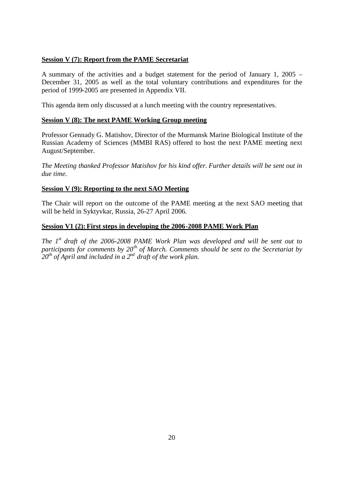## <span id="page-22-0"></span>**Session V (7): Report from the PAME Secretariat**

A summary of the activities and a budget statement for the period of January 1, 2005 – December 31, 2005 as well as the total voluntary contributions and expenditures for the period of 1999-2005 are presented in Appendix VII.

This agenda item only discussed at a lunch meeting with the country representatives.

## <span id="page-22-1"></span>**Session V (8): The next PAME Working Group meeting**

Professor Gennady G. Matishov, Director of the Murmansk Marine Biological Institute of the Russian Academy of Sciences (MMBI RAS) offered to host the next PAME meeting next August/September.

*The Meeting thanked Professor Matishov for his kind offer. Further details will be sent out in due time.*

## <span id="page-22-2"></span>**Session V (9): Reporting to the next SAO Meeting**

The Chair will report on the outcome of the PAME meeting at the next SAO meeting that will be held in Syktyvkar, Russia, 26-27 April 2006.

## <span id="page-22-3"></span>**Session V1 (2): First steps in developing the 2006-2008 PAME Work Plan**

*The 1st draft of the 2006-2008 PAME Work Plan was developed and will be sent out to participants for comments by 20th of March. Comments should be sent to the Secretariat by 20th of April and included in a 2nd draft of the work plan.*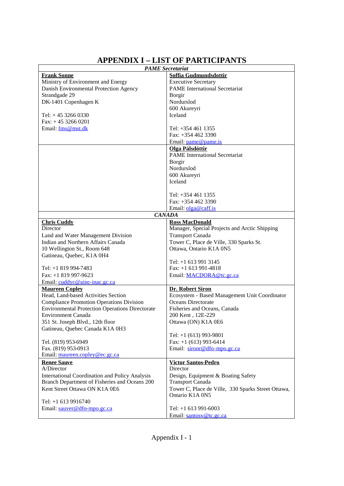# **APPENDIX I – LIST OF PARTICIPANTS**

|                                                        | <b>PAME</b> Secretariat                            |  |  |
|--------------------------------------------------------|----------------------------------------------------|--|--|
| <b>Frank Sonne</b>                                     | Soffia Gudmundsdottir                              |  |  |
| Ministry of Environment and Energy                     | <b>Executive Secretary</b>                         |  |  |
| Danish Environmental Protection Agency                 | <b>PAME</b> International Secretariat              |  |  |
| Strandgade 29                                          | Borgir                                             |  |  |
| DK-1401 Copenhagen K                                   | Nordurslod                                         |  |  |
|                                                        | 600 Akureyri                                       |  |  |
| Tel: $+45$ 3266 0330                                   | <b>Iceland</b>                                     |  |  |
| Fax: $+4532660201$                                     |                                                    |  |  |
| Email: fms@mst.dk                                      | Tel: +354 461 1355                                 |  |  |
|                                                        | Fax: $+3544623390$                                 |  |  |
|                                                        | Email: pame@pame.is                                |  |  |
|                                                        | Olga Pálsdóttir                                    |  |  |
|                                                        | <b>PAME</b> International Secretariat              |  |  |
|                                                        | <b>Borgir</b>                                      |  |  |
|                                                        | Nordurslod                                         |  |  |
|                                                        | 600 Akureyri                                       |  |  |
|                                                        | Iceland                                            |  |  |
|                                                        |                                                    |  |  |
|                                                        | Tel: $+3544611355$                                 |  |  |
|                                                        | Fax: +354 462 3390                                 |  |  |
|                                                        | Email: olga@caff.is                                |  |  |
|                                                        | <b>CANADA</b>                                      |  |  |
| <b>Chris Cuddy</b>                                     | <b>Ross MacDonald</b>                              |  |  |
| Director                                               | Manager, Special Projects and Arctic Shipping      |  |  |
| Land and Water Management Division                     | <b>Transport Canada</b>                            |  |  |
| Indian and Northern Affairs Canada                     | Tower C, Place de Ville, 330 Sparks St.            |  |  |
| 10 Wellington St., Room 648                            | Ottawa, Ontario K1A 0N5                            |  |  |
| Gatineau, Quebec, K1A 0H4                              |                                                    |  |  |
|                                                        | Tel: $+1$ 613 991 3145                             |  |  |
| Tel: +1 819 994-7483                                   | Fax: +1 613 991-4818                               |  |  |
| Fax: +1 819 997-9623                                   | Email: MACDORA@tc.gc.ca                            |  |  |
| Email: cuddyc@ainc-inac.gc.ca                          |                                                    |  |  |
| <b>Maureen Copley</b>                                  | Dr. Robert Siron                                   |  |  |
| Head, Land-based Activities Section                    | Ecosystem - Based Management Unit Coordinator      |  |  |
| <b>Compliance Promotion Operations Division</b>        | Oceans Directorate                                 |  |  |
| <b>Environmental Protection Operations Directorate</b> | Fisheries and Oceans, Canada                       |  |  |
| <b>Environment Canada</b>                              | 200 Kent, 12E-229                                  |  |  |
| 351 St. Joseph Blvd., 12th floor                       | Ottawa (ON) K1A 0E6                                |  |  |
| Gatineau, Quebec Canada K1A 0H3                        |                                                    |  |  |
|                                                        | Tel: $+1$ (613) 993-9801                           |  |  |
| Tel. (819) 953-6949                                    | Fax: $+1$ (613) 993-6414                           |  |  |
| Fax. (819) 953-0913                                    | Email: sironr@dfo-mpo.gc.ca                        |  |  |
| Email: maureen.copley@ec.gc.ca                         |                                                    |  |  |
| <b>Renee Sauve</b>                                     | <b>Victor Santos-Pedro</b>                         |  |  |
| A/Director                                             | Director                                           |  |  |
| <b>International Coordination and Policy Analysis</b>  | Design, Equipment & Boating Safety                 |  |  |
| Branch Department of Fisheries and Oceans 200          | <b>Transport Canada</b>                            |  |  |
| Kent Street Ottawa ON K1A 0E6                          | Tower C, Place de Ville, 330 Sparks Street Ottawa, |  |  |
|                                                        | Ontario K1A 0N5                                    |  |  |
| Tel: $+1$ 613 9916740                                  |                                                    |  |  |
| Email: sauver@dfo-mpo.gc.ca                            | Tel: $+1$ 613 991-6003                             |  |  |
|                                                        | Email: santosy@tc.gc.ca                            |  |  |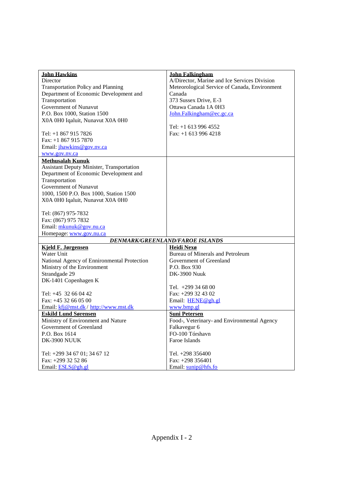| <b>John Hawkins</b>                              | <b>John Falkingham</b>                        |
|--------------------------------------------------|-----------------------------------------------|
| Director                                         | A/Director, Marine and Ice Services Division  |
| <b>Transportation Policy and Planning</b>        | Meteorological Service of Canada, Environment |
| Department of Economic Development and           | Canada                                        |
| Transportation                                   | 373 Sussex Drive, E-3                         |
| Government of Nunavut                            | Ottawa Canada 1A 0H3                          |
| P.O. Box 1000, Station 1500                      | John.Falkingham@ec.gc.ca                      |
| X0A 0H0 Iqaluit, Nunavut X0A 0H0                 |                                               |
|                                                  | Tel: +1 613 996 4552                          |
| Tel: +1 867 915 7826                             | Fax: $+1$ 613 996 4218                        |
| Fax: $+18679157870$                              |                                               |
| Email: jhawkins@gov.nv.ca                        |                                               |
| www.gov.nv.ca                                    |                                               |
| <b>Methusalah Kunuk</b>                          |                                               |
| <b>Assistant Deputy Minister, Transportation</b> |                                               |
| Department of Economic Development and           |                                               |
| Transportation                                   |                                               |
| Government of Nunavut                            |                                               |
| 1000, 1500 P.O. Box 1000, Station 1500           |                                               |
| X0A 0H0 Iqaluit, Nunavut X0A 0H0                 |                                               |
|                                                  |                                               |
| Tel: (867) 975-7832                              |                                               |
| Fax: (867) 975 7832                              |                                               |
| Email: mkunuk@gov.nu.ca                          |                                               |
| Homepage: www.gov.nu.ca                          |                                               |
|                                                  | <b>DENMARK/GREENLAND/FAROE ISLANDS</b>        |
| <b>Kjeld F. Jørgensen</b>                        | Heidi Nexø                                    |
| Water Unit                                       | Bureau of Minerals and Petroleum              |
| National Agency of Ennironmental Protection      | Government of Greenland                       |
| Ministry of the Environment                      | P.O. Box 930                                  |
| Strandgade 29                                    | <b>DK-3900 Nuuk</b>                           |
| DK-1401 Copenhagen K                             |                                               |
|                                                  | Tel. $+299346800$                             |
| Tel: $+45$ 32 66 04 42                           | Fax: +299 32 43 02                            |
| Fax: +45 32 66 05 00                             | Email: HENE@gh.gl                             |
| Email: kfj@mst.dk/ http://www.mst.dk             | www.bmp.gl                                    |
| <b>Eskild Lund Sørensen</b>                      | <b>Suni Petersen</b>                          |
| Ministry of Environment and Nature               | Food-, Veterinary- and Environmental Agency   |
| Government of Greenland                          | Falkavegur 6                                  |
| P.O. Box 1614                                    | FO-100 Tórshavn                               |
| DK-3900 NUUK                                     | Faroe Islands                                 |
|                                                  |                                               |
| Tel: +299 34 67 01; 34 67 12                     | Tel. +298 356400                              |
| Fax: +299 32 52 86                               | Fax: $+298$ 356401                            |
| Email: ESLS@gh.gl                                | Email: sunip@hfs.fo                           |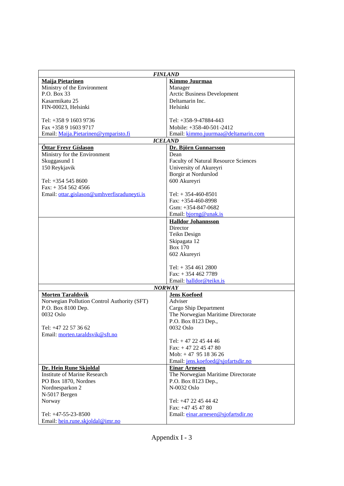| <b>FINLAND</b>                              |                                              |  |
|---------------------------------------------|----------------------------------------------|--|
| <b>Maiia Pietarinen</b>                     | Kimmo Juurmaa                                |  |
| Ministry of the Environment                 | Manager                                      |  |
| P.O. Box 33                                 | Arctic Business Development                  |  |
| Kasarmikatu 25                              | Deltamarin Inc.                              |  |
| FIN-00023, Helsinki                         | Helsinki                                     |  |
|                                             |                                              |  |
| Tel: +358 9 1603 9736                       | Tel: +358-9-47884-443                        |  |
| Fax +358 9 1603 9717                        | Mobile: +358-40-501-2412                     |  |
| Email: Maija.Pietarinen@ymparisto.fi        | Email: kimmo.juurmaa@deltamarin.com          |  |
|                                             | <b>ICELAND</b>                               |  |
| <b>Óttar Freyr Gíslason</b>                 | Dr. Björn Gunnarsson                         |  |
| Ministry for the Environment                | Dean                                         |  |
| Skuggasund 1                                | <b>Faculty of Natural Resource Sciences</b>  |  |
| 150 Reykjavik                               | University of Akureyri                       |  |
|                                             | Borgir at Nordurslod                         |  |
| Tel: +354 545 8600                          | 600 Akureyri                                 |  |
| $Fax: + 3545624566$                         |                                              |  |
| Email: ottar.gislason@umhverfisraduneyti.is | Tel: $+354-460-8501$<br>Fax: $+354-460-8998$ |  |
|                                             | Gsm: $+354-847-0682$                         |  |
|                                             | Email: bjorng@unak.is                        |  |
|                                             | <b>Halldor Johannsson</b>                    |  |
|                                             | Director                                     |  |
|                                             | Teikn Design                                 |  |
|                                             | Skipagata 12                                 |  |
|                                             | <b>Box 170</b>                               |  |
|                                             | 602 Akureyri                                 |  |
|                                             |                                              |  |
|                                             | Tel: $+ 3544612800$                          |  |
|                                             | Fax: $+3544627789$                           |  |
|                                             | Email: halldor@teikn.is                      |  |
|                                             | <b>NORWAY</b>                                |  |
| <b>Morten Taraldsvik</b>                    | <b>Jens Koefoed</b>                          |  |
| Norwegian Pollution Control Authority (SFT) | Adviser                                      |  |
| P.O. Box 8100 Dep.                          | Cargo Ship Department                        |  |
| 0032 Oslo                                   | The Norwegian Maritime Directorate           |  |
|                                             | P.O. Box 8123 Dep.,                          |  |
| Tel: +47 22 57 36 62                        | 0032 Oslo                                    |  |
| Email: morten.taraldsvik@sft.no             | Tel: $+47$ 22 45 44 46                       |  |
|                                             |                                              |  |
|                                             | Fax: $+4722454780$<br>Mob: $+47$ 95 18 36 26 |  |
|                                             | Email: jens.koefoed@sjofartsdir.no           |  |
| Dr. Hein Rune Skjoldal                      | <b>Einar Arnesen</b>                         |  |
| <b>Institute of Marine Research</b>         | The Norwegian Maritime Directorate           |  |
| PO Box 1870, Nordnes                        | P.O. Box 8123 Dep.,                          |  |
| Nordnesparkon 2                             | N-0032 Oslo                                  |  |
| N-5017 Bergen                               |                                              |  |
| Norway                                      | Tel: +47 22 45 44 42                         |  |
|                                             | Fax: $+47454780$                             |  |
| Tel: +47-55-23-8500                         | Email: einar.arnesen@sjofartsdir.no          |  |
| Email: hein.rune.skjoldal@imr.no            |                                              |  |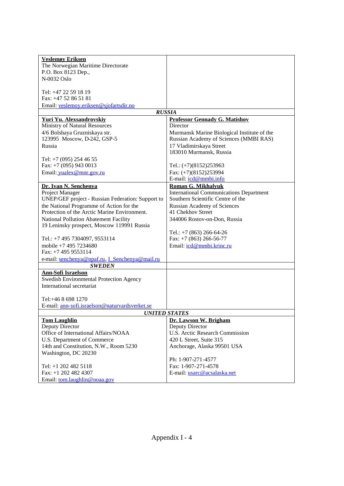| <b>Veslemøv Eriksen</b>                                                                  |                                                                                     |
|------------------------------------------------------------------------------------------|-------------------------------------------------------------------------------------|
| The Norwegian Maritime Directorate                                                       |                                                                                     |
| P.O. Box 8123 Dep.,                                                                      |                                                                                     |
| N-0032 Oslo                                                                              |                                                                                     |
|                                                                                          |                                                                                     |
| Tel: +47 22 59 18 19                                                                     |                                                                                     |
| Fax: +47 52 86 51 81                                                                     |                                                                                     |
| Email: veslemov.eriksen@sjofartsdir.no                                                   |                                                                                     |
| <b>RUSSIA</b>                                                                            |                                                                                     |
| Yuri Yu. Alexsandrovskiy                                                                 | <b>Professor Gennady G. Matishov</b>                                                |
| Ministry of Natural Resources                                                            | Director                                                                            |
| 4/6 Bolshaya Gruzniskaya str.                                                            | Murmansk Marine Biological Institute of the                                         |
| 123995 Moscow, D-242, GSP-5                                                              | Russian Academy of Sciences (MMBI RAS)                                              |
| Russia                                                                                   | 17 Vladimirskaya Street                                                             |
|                                                                                          | 183010 Murmansk, Russia                                                             |
| Tel: +7 (095) 254 46 55                                                                  |                                                                                     |
| Fax: $+7$ (095) 943 0013                                                                 | Tel.: $(+7)(8152)253963$                                                            |
| Email: yualex@mnr.gov.ru                                                                 | Fax: $(+7)(8152)253994$                                                             |
|                                                                                          | E-mail: icd@mmbi.info                                                               |
|                                                                                          |                                                                                     |
| Dr. Ivan N. Senchenya                                                                    | <b>Roman G. Mikhalyuk</b>                                                           |
| Project Manager                                                                          | <b>International Communications Department</b><br>Southern Scientific Centre of the |
| UNEP/GEF project - Russian Federation: Support to                                        |                                                                                     |
| the National Programme of Action for the<br>Protection of the Arctic Marine Environment. | Russian Academy of Sciences<br>41 Chekhov Street                                    |
|                                                                                          |                                                                                     |
| National Pollution Abatement Facility                                                    | 344006 Rostov-on-Don, Russia                                                        |
| 19 Leninsky prospect, Moscow 119991 Russia                                               |                                                                                     |
|                                                                                          | Tel.: $+7$ (863) 266-64-26                                                          |
| Tel.: +7 495 7304097, 9553114<br>mobile +7 495 7234680                                   | Fax: $+7$ (863) 266-56-77                                                           |
| Fax: +7 495 9553114                                                                      | Email: icd@mmbi.krinc.ru                                                            |
|                                                                                          |                                                                                     |
| e-mail: senchenya@npaf.ru, I_Senchenya@mail.ru                                           |                                                                                     |
| <b>SWEDEN</b>                                                                            |                                                                                     |
| <b>Ann-Sofi Israelson</b>                                                                |                                                                                     |
| Swedish Environmental Protection Agency                                                  |                                                                                     |
| International secretariat                                                                |                                                                                     |
|                                                                                          |                                                                                     |
| Tel:+46 8 698 1270                                                                       |                                                                                     |
| E-mail: ann-sofi.israelson@naturvardsverket.se                                           |                                                                                     |
|                                                                                          | <b>UNITED STATES</b>                                                                |
| <b>Tom Laughlin</b>                                                                      | Dr. Lawson W. Brigham                                                               |
| Deputy Director<br>Office of International Affairs/NOAA                                  | Deputy Director<br>U.S. Arctic Research Commission                                  |
|                                                                                          | 420 L Street, Suite 315                                                             |
| U.S. Department of Commerce                                                              |                                                                                     |
| 14th and Constitution, N.W., Room 5230                                                   | Anchorage, Alaska 99501 USA                                                         |
| Washington, DC 20230                                                                     |                                                                                     |
|                                                                                          | Ph: 1-907-271-4577                                                                  |
| Tel: +1 202 482 5118                                                                     | Fax: 1-907-271-4578                                                                 |
| Fax: $+1$ 202 482 4307                                                                   | E-mail: usarc@acsalaska.net                                                         |
| Email: tom.laughlin@noaa.gov                                                             |                                                                                     |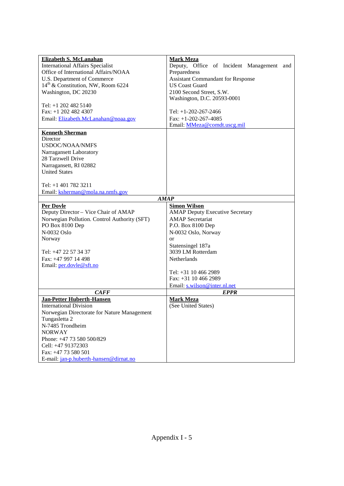| Elizabeth S. McLanahan                         | <b>Mark Meza</b>                          |
|------------------------------------------------|-------------------------------------------|
| <b>International Affairs Specialist</b>        | Deputy, Office of Incident Management and |
| Office of International Affairs/NOAA           | Preparedness                              |
| U.S. Department of Commerce                    | <b>Assistant Commandant for Response</b>  |
| 14 <sup>th</sup> & Constitution, NW, Room 6224 | <b>US Coast Guard</b>                     |
| Washington, DC 20230                           | 2100 Second Street, S.W.                  |
|                                                | Washington, D.C. 20593-0001               |
| Tel: $+1$ 202 482 5140                         |                                           |
| Fax: $+1$ 202 482 4307                         | Tel: $+1-202-267-2466$                    |
| Email: Elizabeth.McLanahan@noaa.gov            | Fax: $+1-202-267-4085$                    |
|                                                | Email: MMeza@comdt.uscg.mil               |
|                                                |                                           |
| <b>Kenneth Sherman</b><br>Director             |                                           |
| <b>USDOC/NOAA/NMFS</b>                         |                                           |
|                                                |                                           |
| Narragansett Laboratory                        |                                           |
| 28 Tarzwell Drive                              |                                           |
| Narragansett, RI 02882                         |                                           |
| <b>United States</b>                           |                                           |
| Tel: $+1$ 401 782 3211                         |                                           |
| Email: ksherman@mola.na.nmfs.gov               |                                           |
|                                                | <b>AMAP</b>                               |
| <b>Per Dovle</b>                               | <b>Simon Wilson</b>                       |
| Deputy Director - Vice Chair of AMAP           | <b>AMAP Deputy Executive Secretary</b>    |
| Norwegian Pollution. Control Authority (SFT)   | <b>AMAP</b> Secretariat                   |
| PO Box 8100 Dep                                | P.O. Box 8100 Dep                         |
| N-0032 Oslo                                    | N-0032 Oslo, Norway                       |
| Norway                                         | or                                        |
|                                                | Statensingel 187a                         |
| Tel: +47 22 57 34 37                           | 3039 LM Rotterdam                         |
| Fax: +47 997 14 498                            | Netherlands                               |
| Email: per.dovle@sft.no                        |                                           |
|                                                | Tel: +31 10 466 2989                      |
|                                                | Fax: +31 10 466 2989                      |
|                                                | Email: s.wilson@inter.nl.net              |
| CAFF                                           | <b>EPPR</b>                               |
| <b>Jan-Petter Huberth-Hansen</b>               | <b>Mark Meza</b>                          |
| <b>International Division</b>                  | (See United States)                       |
| Norwegian Directorate for Nature Management    |                                           |
| Tungasletta 2                                  |                                           |
| N-7485 Trondheim                               |                                           |
| <b>NORWAY</b>                                  |                                           |
| Phone: +47 73 580 500/829                      |                                           |
| Cell: +47 91372303                             |                                           |
| Fax: +47 73 580 501                            |                                           |
| E-mail: jan-p.huberth-hansen@dirnat.no         |                                           |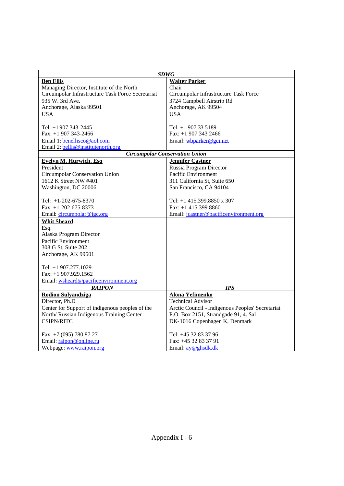| <b>SDWG</b>                                       |                                                  |  |  |  |
|---------------------------------------------------|--------------------------------------------------|--|--|--|
| <b>Ben Ellis</b>                                  | <b>Walter Parker</b>                             |  |  |  |
| Managing Director, Institute of the North         | Chair                                            |  |  |  |
| Circumpolar Infrastructure Task Force Secretariat | Circumpolar Infrastructure Task Force            |  |  |  |
| 935 W. 3rd Ave.                                   | 3724 Campbell Airstrip Rd                        |  |  |  |
| Anchorage, Alaska 99501                           | Anchorage, AK 99504                              |  |  |  |
| <b>USA</b>                                        | <b>USA</b>                                       |  |  |  |
|                                                   |                                                  |  |  |  |
| Tel: +1 907 343-2445                              | Tel: +1 907 33 5189                              |  |  |  |
| Fax: $+1$ 907 343-2466                            | Fax: $+1$ 907 343 2466                           |  |  |  |
| Email 1: benellisco@aol.com                       | Email: wbparker@gci.net                          |  |  |  |
| Email 2: bellis@institutenorth.org                |                                                  |  |  |  |
| <b>Circumpolar Conservation Union</b>             |                                                  |  |  |  |
| <b>Evelyn M. Hurwich, Esq</b>                     | <b>Jennifer Castner</b>                          |  |  |  |
| President                                         | Russia Program Director                          |  |  |  |
| Circumpolar Conservation Union                    | Pacific Environment                              |  |  |  |
| 1612 K Street NW #401                             | 311 California St, Suite 650                     |  |  |  |
| Washington, DC 20006                              | San Francisco, CA 94104                          |  |  |  |
|                                                   |                                                  |  |  |  |
| Tel: +1-202-675-8370                              | Tel: +1 415.399.8850 x 307                       |  |  |  |
| Fax: $+1-202-675-8373$                            | Fax: $+1$ 415.399.8860                           |  |  |  |
| Email: circumpolar@igc.org                        | Email: jcastner@pacificenvironment.org           |  |  |  |
| <b>Whit Sheard</b>                                |                                                  |  |  |  |
| Esq.                                              |                                                  |  |  |  |
| Alaska Program Director                           |                                                  |  |  |  |
| Pacific Environment                               |                                                  |  |  |  |
| 308 G St, Suite 202                               |                                                  |  |  |  |
| Anchorage, AK 99501                               |                                                  |  |  |  |
|                                                   |                                                  |  |  |  |
| Tel: +1 907.277.1029                              |                                                  |  |  |  |
| Fax: $+1$ 907.929.1562                            |                                                  |  |  |  |
| Email: wsheard@pacificenvironment.org             |                                                  |  |  |  |
| RAIPON                                            | <b>IPS</b>                                       |  |  |  |
| <b>Rodion Sulvandziga</b>                         | <b>Alona Yefimenko</b>                           |  |  |  |
| Director, Ph.D                                    | <b>Technical Advisor</b>                         |  |  |  |
| Center for Support of indigenous peoples of the   | Arctic Council - Indigenous Peoples' Secretariat |  |  |  |
| North/ Russian Indigenous Training Center         | P.O. Box 2151, Strandgade 91, 4. Sal             |  |  |  |
| <b>CSIPN/RITC</b>                                 | DK-1016 Copenhagen K, Denmark                    |  |  |  |
| Fax: +7 (095) 780 87 27                           | Tel: +45 32 83 37 96                             |  |  |  |
| Email: raipon@online.ru                           | Fax: +45 32 83 37 91                             |  |  |  |
| Webpage: www.raipon.org                           | Email: <u>ay@ghsdk.dk</u>                        |  |  |  |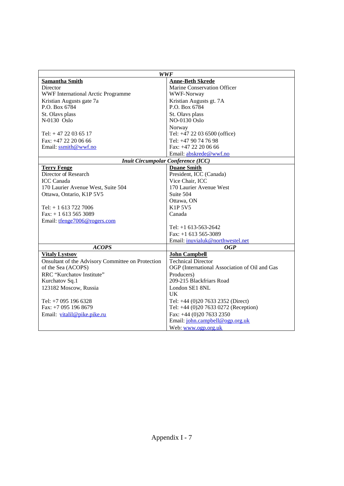|                                                   | <b>WWF</b>                                    |  |  |
|---------------------------------------------------|-----------------------------------------------|--|--|
| <b>Samantha Smith</b>                             | <b>Anne-Beth Skrede</b>                       |  |  |
| Director                                          | Marine Conservation Officer                   |  |  |
| <b>WWF International Arctic Programme</b>         | <b>WWF-Norway</b>                             |  |  |
| Kristian Augusts gate 7a                          | Kristian Augusts gt. 7A                       |  |  |
| P.O. Box 6784                                     | P.O. Box 6784                                 |  |  |
| St. Olavs plass                                   | St. Olavs plass                               |  |  |
| N-0130 Oslo                                       | NO-0130 Oslo                                  |  |  |
|                                                   | Norway                                        |  |  |
| Tel: $+47$ 22 03 65 17                            | Tel: +47 22 03 6500 (office)                  |  |  |
| Fax: +47 22 20 06 66                              | Tel: +47 90 74 76 98                          |  |  |
| Email: ssmith@wwf.no                              | Fax: $+4722200666$                            |  |  |
|                                                   | Email: abskrede@wwf.no                        |  |  |
|                                                   | <b>Inuit Circumpolar Conference (ICC)</b>     |  |  |
| <b>Terry Fenge</b>                                | <b>Duane Smith</b>                            |  |  |
| Director of Research                              | President, ICC (Canada)                       |  |  |
| <b>ICC</b> Canada                                 | Vice Chair, ICC                               |  |  |
| 170 Laurier Avenue West, Suite 504                | 170 Laurier Avenue West                       |  |  |
| Ottawa, Ontario, K1P 5V5                          | Suite 504                                     |  |  |
|                                                   | Ottawa, ON                                    |  |  |
| Tel: $+ 16137227006$                              | <b>K1P 5V5</b>                                |  |  |
| Fax: $+ 16135653089$                              | Canada                                        |  |  |
| Email: tfenge7006@rogers.com                      |                                               |  |  |
|                                                   | Tel: $+1$ 613-563-2642                        |  |  |
|                                                   | Fax: $+1$ 613 565-3089                        |  |  |
|                                                   | Email: inuvialuk@northwestel.net              |  |  |
| <b>ACOPS</b>                                      | <i>OGP</i>                                    |  |  |
| <b>Vitaly Lystsov</b>                             | <b>John Campbell</b>                          |  |  |
| Onsultant of the Advisory Committee on Protection | <b>Technical Director</b>                     |  |  |
| of the Sea (ACOPS)                                | OGP (International Association of Oil and Gas |  |  |
| RRC "Kurchatov Institute"                         | Producers)                                    |  |  |
| Kurchatov Sq.1                                    | 209-215 Blackfriars Road                      |  |  |
| 123182 Moscow, Russia                             | London SE1 8NL                                |  |  |
|                                                   | <b>UK</b>                                     |  |  |
| Tel: +7 095 196 6328                              | Tel: +44 (0)20 7633 2352 (Direct)             |  |  |
| Fax: +7 095 196 8679                              | Tel: +44 (0)20 7633 0272 (Reception)          |  |  |
| Email: vitalil@pike.pike.ru                       | Fax: +44 (0)20 7633 2350                      |  |  |
|                                                   | Email: john.campbell@ogp.org.uk               |  |  |
|                                                   | Web: www.ogp.org.uk                           |  |  |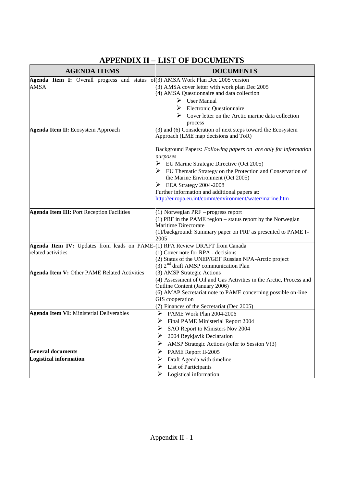| <b>AGENDA ITEMS</b>                                                                       | <b>DOCUMENTS</b>                                                                                                                                                                                                                                                                                                                                                |  |  |  |
|-------------------------------------------------------------------------------------------|-----------------------------------------------------------------------------------------------------------------------------------------------------------------------------------------------------------------------------------------------------------------------------------------------------------------------------------------------------------------|--|--|--|
| Agenda Item I: Overall progress and status of (3) AMSA Work Plan Dec 2005 version<br>AMSA | 3) AMSA cover letter with work plan Dec 2005<br>4) AMSA Questionnaire and data collection<br>$\triangleright$ User Manual<br>$\triangleright$ Electronic Questionnaire<br>Cover letter on the Arctic marine data collection<br>process                                                                                                                          |  |  |  |
| <b>Agenda Item II:</b> Ecosystem Approach                                                 | (3) and (6) Consideration of next steps toward the Ecosystem<br>Approach (LME map decisions and ToR)                                                                                                                                                                                                                                                            |  |  |  |
|                                                                                           | Background Papers: Following papers on are only for information<br>purposes<br>EU Marine Strategic Directive (Oct 2005)<br>EU Thematic Strategy on the Protection and Conservation of<br>the Marine Environment (Oct 2005)<br>EEA Strategy 2004-2008<br>Further information and additional papers at:<br>http://europa.eu.int/comm/environment/water/marine.htm |  |  |  |
| <b>Agenda Item III: Port Reception Facilities</b>                                         | 1) Norwegian PRF - progress report<br>1) PRF in the PAME region – status report by the Norwegian<br>Maritime Directorate<br>1)/background: Summary paper on PRF as presented to PAME I-<br>2005                                                                                                                                                                 |  |  |  |
| Agenda Item IV: Updates from leads on PAME-(1) RPA Review DRAFT from Canada               |                                                                                                                                                                                                                                                                                                                                                                 |  |  |  |
| related activities                                                                        | 1) Cover note for RPA - decisions<br>2) Status of the UNEP/GEF Russian NPA-Arctic project<br>$(3)$ 2 <sup>nd</sup> draft AMSP communication Plan                                                                                                                                                                                                                |  |  |  |
| Agenda Item V: Other PAME Related Activities                                              | 3) AMSP Strategic Actions<br>4) Assessment of Oil and Gas Activities in the Arctic, Process and<br>Outline Content (January 2006)<br>6) AMAP Secretariat note to PAME concerning possible on-line<br>GIS cooperation<br>(7) Finances of the Secretariat (Dec 2005)                                                                                              |  |  |  |
| <b>Agenda Item VI:</b> Ministerial Deliverables                                           | ➤<br>PAME Work Plan 2004-2006<br>➤<br>Final PAME Ministerial Report 2004<br>➤<br>SAO Report to Ministers Nov 2004<br>2004 Reykjavik Declaration<br>⋗<br>AMSP Strategic Actions (refer to Session V(3)<br>⋗                                                                                                                                                      |  |  |  |
| <b>General documents</b>                                                                  | ➤<br>PAME Report II-2005                                                                                                                                                                                                                                                                                                                                        |  |  |  |
| <b>Logistical information</b>                                                             | ➤<br>Draft Agenda with timeline<br>List of Participants<br>➤<br>Logistical information                                                                                                                                                                                                                                                                          |  |  |  |

# **APPENDIX II – LIST OF DOCUMENTS**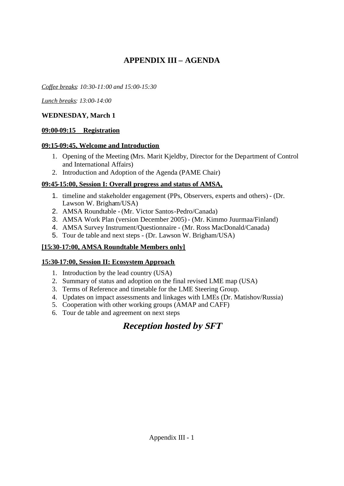# **APPENDIX III – AGENDA**

*Coffee breaks: 10:30-11:00 and 15:00-15:30*

*Lunch breaks: 13:00-14:00*

## **WEDNESDAY, March 1**

## **09:00-09:15 Registration**

## **09:15-09:45, Welcome and Introduction**

- 1. Opening of the Meeting (Mrs. Marit Kjeldby, Director for the Department of Control and International Affairs)
- 2. Introduction and Adoption of the Agenda (PAME Chair)

# **09:45-15:00, Session I: Overall progress and status of AMSA,**

- 1. timeline and stakeholder engagement (PPs, Observers, experts and others) (Dr. Lawson W. Brigham/USA)
- 2. AMSA Roundtable (Mr. Victor Santos-Pedro/Canada)
- 3. AMSA Work Plan (version December 2005) (Mr. Kimmo Juurmaa/Finland)
- 4. AMSA Survey Instrument/Questionnaire (Mr. Ross MacDonald/Canada)
- 5. Tour de table and next steps (Dr. Lawson W. Brigham/USA)

# **[15:30-17:00, AMSA Roundtable Members only]**

# **15:30-17:00, Session II: Ecosystem Approach**

- 1. Introduction by the lead country (USA)
- 2. Summary of status and adoption on the final revised LME map (USA)
- 3. Terms of Reference and timetable for the LME Steering Group.
- 4. Updates on impact assessments and linkages with LMEs (Dr. Matishov/Russia)
- 5. Cooperation with other working groups (AMAP and CAFF)
- 6. Tour de table and agreement on next steps

# **Reception hosted by SFT**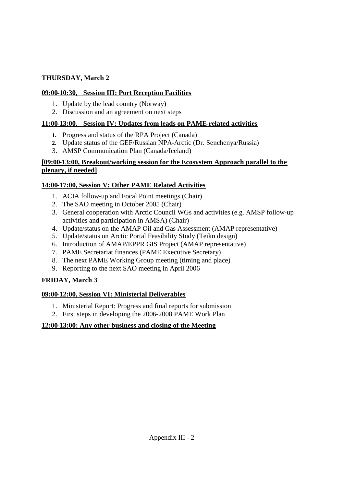## **THURSDAY, March 2**

# **09:00-10:30, Session III: Port Reception Facilities**

- 1. Update by the lead country (Norway)
- 2. Discussion and an agreement on next steps

# **11:00-13:00, Session IV: Updates from leads on PAME-related activities**

- **1.** Progress and status of the RPA Project (Canada)
- **2.** Update status of the GEF/Russian NPA-Arctic (Dr. Senchenya/Russia)
- 3. AMSP Communication Plan (Canada/Iceland)

# **[09:00-13:00, Breakout/working session for the Ecosystem Approach parallel to the plenary, if needed]**

# **14:00-17:00, Session V: Other PAME Related Activities**

- 1. ACIA follow-up and Focal Point meetings (Chair)
- 2. The SAO meeting in October 2005 (Chair)
- 3. General cooperation with Arctic Council WGs and activities (e.g. AMSP follow-up activities and participation in AMSA) (Chair)
- 4. Update/status on the AMAP Oil and Gas Assessment (AMAP representative)
- 5. Update/status on Arctic Portal Feasibility Study (Teikn design)
- 6. Introduction of AMAP/EPPR GIS Project (AMAP representative)
- 7. PAME Secretariat finances (PAME Executive Secretary)
- 8. The next PAME Working Group meeting (timing and place)
- 9. Reporting to the next SAO meeting in April 2006

# **FRIDAY, March 3**

# **09:00-12:00, Session VI: Ministerial Deliverables**

- 1. Ministerial Report: Progress and final reports for submission
- 2. First steps in developing the 2006-2008 PAME Work Plan

# **12:00-13:00: Any other business and closing of the Meeting**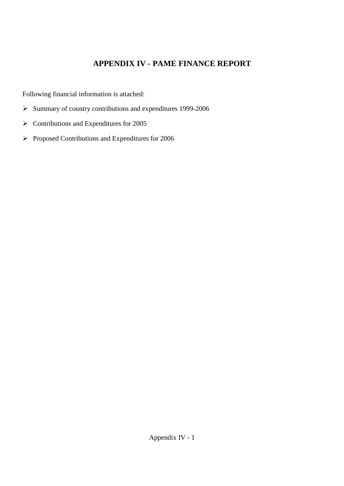# **APPENDIX IV - PAME FINANCE REPORT**

Following financial information is attached:

- $\triangleright$  Summary of country contributions and expenditures 1999-2006
- $\triangleright$  Contributions and Expenditures for 2005
- $\triangleright$  Proposed Contributions and Expenditures for 2006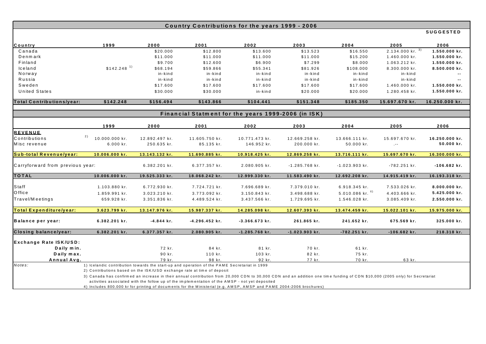|                                  |                                                                                                                                                                                                                                                                                                                                                                                                                                                                              |                |                                                                                                | Country Contributions for the years 1999 - 2006     |                  |                         |                            |                  |
|----------------------------------|------------------------------------------------------------------------------------------------------------------------------------------------------------------------------------------------------------------------------------------------------------------------------------------------------------------------------------------------------------------------------------------------------------------------------------------------------------------------------|----------------|------------------------------------------------------------------------------------------------|-----------------------------------------------------|------------------|-------------------------|----------------------------|------------------|
|                                  |                                                                                                                                                                                                                                                                                                                                                                                                                                                                              |                |                                                                                                |                                                     |                  |                         |                            | <b>SUGGESTED</b> |
| Country                          | 1999                                                                                                                                                                                                                                                                                                                                                                                                                                                                         | 2000           | 2001                                                                                           | 2002                                                | 2003             | 2004                    | 2005                       | 2006             |
| Canada                           |                                                                                                                                                                                                                                                                                                                                                                                                                                                                              | \$20.000       | \$12.800                                                                                       | \$13.600                                            | \$13.523         | \$16.550                | $2.134.000$ kr. $3)$       | 1.550.000 kr.    |
| Denmark                          |                                                                                                                                                                                                                                                                                                                                                                                                                                                                              | \$11.000       | \$11.000                                                                                       | \$11.000                                            | \$11.000         | \$15.200                | 1.460.000 kr.              | 1.550.000 kr.    |
| Finland                          |                                                                                                                                                                                                                                                                                                                                                                                                                                                                              | \$9.700        | \$12.600                                                                                       | \$6.900                                             | \$7.299          | \$8.000                 | 1.063.212 kr.              | 1.550.000 kr.    |
| lceland                          | $$142.248$ <sup>1)</sup>                                                                                                                                                                                                                                                                                                                                                                                                                                                     | \$68.194       | \$59.866                                                                                       | \$55.341                                            | \$81.926         | \$108.000               | 8.300.000 kr.              | 8.500.000 kr.    |
| Norway                           |                                                                                                                                                                                                                                                                                                                                                                                                                                                                              | in-kind        | in-kind                                                                                        | in-kind                                             | in-kind          | in-kind                 | in-kind                    |                  |
| Russia                           |                                                                                                                                                                                                                                                                                                                                                                                                                                                                              | in-kind        | in-kind                                                                                        | in-kind                                             | in-kind          | in-kind                 | in-kind                    |                  |
| Sweden                           |                                                                                                                                                                                                                                                                                                                                                                                                                                                                              | \$17.600       | \$17.600                                                                                       | \$17.600                                            | \$17.600         | \$17.600                | 1.460.000 kr.              | 1.550.000 kr.    |
| <b>United States</b>             |                                                                                                                                                                                                                                                                                                                                                                                                                                                                              | \$30.000       | \$30.000                                                                                       | in-kind                                             | \$20.000         | \$20.000                | 1.280.458 kr.              | 1.550.000 kr.    |
| <b>Total Contributions/year:</b> | \$142.248                                                                                                                                                                                                                                                                                                                                                                                                                                                                    | \$156.494      | \$143.866                                                                                      | \$104.441                                           | \$151.348        | \$185.350               | 15.697.670 kr.             | 16.250.000 kr.   |
|                                  |                                                                                                                                                                                                                                                                                                                                                                                                                                                                              |                |                                                                                                | Financial Statment for the years 1999-2006 (in ISK) |                  |                         |                            |                  |
|                                  |                                                                                                                                                                                                                                                                                                                                                                                                                                                                              |                |                                                                                                |                                                     |                  |                         |                            |                  |
|                                  | 1999                                                                                                                                                                                                                                                                                                                                                                                                                                                                         | 2000           | 2001                                                                                           | 2002                                                | 2003             | 2004                    | 2005                       | 2006             |
| <b>REVENUE</b>                   |                                                                                                                                                                                                                                                                                                                                                                                                                                                                              |                |                                                                                                |                                                     |                  |                         |                            |                  |
| Contributions                    | 2)<br>10.000.000 kr.                                                                                                                                                                                                                                                                                                                                                                                                                                                         | 12.892.497 kr. | 11.605.750 kr.                                                                                 | 10.771.473 kr.                                      | 12.669.258 kr.   | 13.666.111 kr.          | 15.697.670 kr.             | 16.250.000 kr.   |
| Misc revenue                     | 6.000 kr.                                                                                                                                                                                                                                                                                                                                                                                                                                                                    | 250.635 kr.    | 85.135 kr.                                                                                     | 146.952 kr.                                         | 200.000 kr.      | 50.000 kr.              | $\mathcal{L}^{\text{max}}$ | 50.000 kr.       |
| Sub-total Revenue/year:          | 10.006.000 kr.                                                                                                                                                                                                                                                                                                                                                                                                                                                               | 13.143.132 kr. | 11.690.885 kr.                                                                                 | 10.918.425 kr.                                      | 12.869.258 kr.   | 13.716.111 kr.          | 15.697.670 kr.             | 16.300.000 kr.   |
| Carryforward from previous year: |                                                                                                                                                                                                                                                                                                                                                                                                                                                                              | 6.382.201 kr.  | 6.377.357 kr.                                                                                  | 2.080.905 kr.                                       | $-1.285.768$ kr. | $-1.023.903$ kr.        | $-782.251$ kr.             | $-106.682$ kr.   |
| <b>TOTAL</b>                     | 10.006.000 kr.                                                                                                                                                                                                                                                                                                                                                                                                                                                               | 19.525.333 kr. | 18.068.242 kr.                                                                                 | 12.999.330 kr.                                      | 11.583.490 kr.   | 12.692.208 kr.          | 14.915.419 kr.             | 16.193.318 kr.   |
| Staff                            | 1.103.880 kr.                                                                                                                                                                                                                                                                                                                                                                                                                                                                | 6.772.930 kr.  | 7.724.721 kr.                                                                                  | 7.696.689 kr.                                       | 7.379.010 kr.    | 6.918.345 kr.           | 7.533.026 kr.              | 8.000.000 kr.    |
| Office                           | 1.859.991 kr.                                                                                                                                                                                                                                                                                                                                                                                                                                                                | 3.023.210 kr.  | 3.773.092 kr.                                                                                  | 3.150.843 kr.                                       | 3.498.688 kr.    | $5.010.086$ kr. $^{4)}$ | 4.403.666 kr.              | 5.425.000 kr.    |
| Travel/Meetings                  | 659.928 kr.                                                                                                                                                                                                                                                                                                                                                                                                                                                                  | 3.351.836 kr.  | 4.489.524 kr.                                                                                  | 3.437.566 kr.                                       | 1.729.695 kr.    | 1.546.028 kr.           | 3.085.409 kr.              | 2.550.000 kr.    |
| Total Expenditure/year:          | 3.623.799 kr.                                                                                                                                                                                                                                                                                                                                                                                                                                                                | 13.147.976 kr. | 15.987.337 kr.                                                                                 | 14.285.098 kr.                                      | 12.607.393 kr.   | 13.474.459 kr.          | 15.022.101 kr.             | 15.975.000 kr.   |
| Balance per year:                | 6.382.201 kr.                                                                                                                                                                                                                                                                                                                                                                                                                                                                | $-4.844$ kr.   | -4.296.452 kr.                                                                                 | $-3.366.673$ kr.                                    | 261.865 kr.      | 241.652 kr.             | 675.569 kr.                | 325.000 kr.      |
| Closing balance/year:            | 6.382.201 kr.                                                                                                                                                                                                                                                                                                                                                                                                                                                                | 6.377.357 kr.  | 2.080.905 kr.                                                                                  | $-1.285.768$ kr.                                    | $-1.023.903$ kr. | $-782.251$ kr.          | $-106.682$ kr.             | 218.318 kr.      |
| Exchange Rate ISK/USD:           |                                                                                                                                                                                                                                                                                                                                                                                                                                                                              |                |                                                                                                |                                                     |                  |                         |                            |                  |
| Daily min.                       |                                                                                                                                                                                                                                                                                                                                                                                                                                                                              | 72 kr.         | 84 kr.                                                                                         | 81 kr.                                              | 70 kr.           | 61 kr.                  |                            |                  |
| Daily max.                       |                                                                                                                                                                                                                                                                                                                                                                                                                                                                              | 90 kr.         | 110 kr.                                                                                        | 103 kr.                                             | 82 kr.           | 75 kr.                  |                            |                  |
| Annual Avg.                      |                                                                                                                                                                                                                                                                                                                                                                                                                                                                              | 79 kr.         | 98 kr.                                                                                         | 92 kr.                                              | 77 kr.           | 70 kr.                  | 63 kr.                     |                  |
| Notes:                           | 1) Icelandic contribution towards the start-up and operation of the PAME Secretariat in 1999<br>2) Contributions based on the ISK/USD exchange rate at time of deposit<br>3) Canada has confirmed an increase in their annual contribution from 20,000 CDN to 30,000 CDN and an addition one time funding of CDN \$10,000 (2005 only) for Secretariat<br>4) Includes 800.000 kr for printing of documents for the Ministerial (e.g. AMSP, AMSP and PAME 2004-2006 brochures) |                | activities associated with the follow up of the implementation of the AMSP - not yet deposited |                                                     |                  |                         |                            |                  |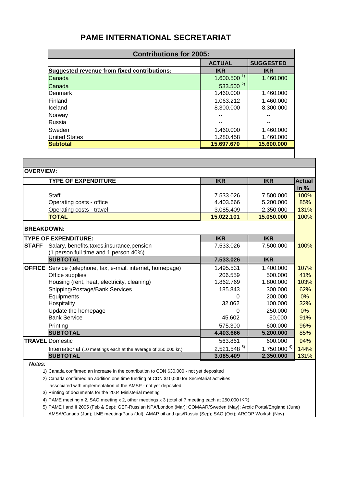# **PAME INTERNATIONAL SECRETARIAT**

| <b>Contributions for 2005:</b>              |                 |            |  |  |  |
|---------------------------------------------|-----------------|------------|--|--|--|
| <b>SUGGESTED</b><br><b>ACTUAL</b>           |                 |            |  |  |  |
| Suggested revenue from fixed contributions: | <b>IKR</b>      | <b>IKR</b> |  |  |  |
| Canada                                      | $1.600.500^{1}$ | 1.460.000  |  |  |  |
| Canada                                      | $533.500^{2}$   |            |  |  |  |
| Denmark                                     | 1.460.000       | 1.460.000  |  |  |  |
| <b>IFinland</b>                             | 1.063.212       | 1.460.000  |  |  |  |
| Iceland                                     | 8.300.000       | 8.300.000  |  |  |  |
| Norway                                      |                 |            |  |  |  |
| Russia                                      |                 | --         |  |  |  |
| Sweden                                      | 1.460.000       | 1.460.000  |  |  |  |
| <b>United States</b>                        | 1.280.458       | 1.460.000  |  |  |  |
| <b>Subtotal</b>                             | 15.697.670      | 15.600.000 |  |  |  |

| <b>lOVERVIEW:</b> |                                                                    |                 |                 |               |
|-------------------|--------------------------------------------------------------------|-----------------|-----------------|---------------|
|                   | <b>TYPE OF EXPENDITURE</b>                                         | <b>IKR</b>      | <b>IKR</b>      | <b>Actual</b> |
|                   |                                                                    |                 |                 | in $%$        |
|                   | Staff                                                              | 7.533.026       | 7.500.000       | 100%          |
|                   | Operating costs - office                                           | 4.403.666       | 5.200.000       | 85%           |
|                   | Operating costs - travel                                           | 3.085.409       | 2.350.000       | 131%          |
|                   | <b>TOTAL</b>                                                       | 15.022.101      | 15.050.000      | 100%          |
| <b>BREAKDOWN:</b> |                                                                    |                 |                 |               |
|                   | <b>ITYPE OF EXPENDITURE:</b>                                       | <b>IKR</b>      | <b>IKR</b>      |               |
| <b>STAFF</b>      | Salary, benefits, taxes, insurance, pension                        | 7.533.026       | 7.500.000       | 100%          |
|                   | (1 person full time and 1 person 40%)                              |                 |                 |               |
|                   | <b>SUBTOTAL</b>                                                    | 7.533.026       | <b>IKR</b>      |               |
|                   | <b>OFFICE</b> Service (telephone, fax, e-mail, internet, homepage) | 1.495.531       | 1.400.000       | 107%          |
|                   | Office supplies                                                    | 206.559         | 500.000         | 41%           |
|                   | Housing (rent, heat, electricity, cleaning)                        | 1.862.769       | 1.800.000       | 103%          |
|                   | Shipping/Postage/Bank Services                                     | 185.843         | 300.000         | 62%           |
|                   | Equipments                                                         | Ω               | 200.000         | 0%            |
|                   | Hospitality                                                        | 32.062          | 100.000         | 32%           |
|                   | Update the homepage                                                | $\Omega$        | 250.000         | 0%            |
|                   | <b>Bank Service</b>                                                | 45.602          | 50.000          | 91%           |
|                   | Printing                                                           | 575.300         | 600.000         | 96%           |
|                   | <b>SUBTOTAL</b>                                                    | 4.403.666       | 5.200.000       | 85%           |
|                   | <b>TRAVEL</b> Domestic                                             | 563.861         | 600.000         | 94%           |
|                   | International (10 meetings each at the average of 250.000 kr.)     | $2.521.548^{5}$ | $1.750.000^{4}$ | 144%          |
|                   | <b>SUBTOTAL</b>                                                    | 3.085.409       | 2.350.000       | 131%          |
| N <sub>0</sub>    |                                                                    |                 |                 |               |

*Notes:*

1) Canada confirmed an increase in the contribution to CDN \$30,000 - not yet deposited

2) Canada confirmed an addition one time funding of CDN \$10,000 for Secretariat activities

associated with implementation of the AMSP - not yet deposited

3) Printing of documents for the 2004 Ministerial meeting

4) PAME meeting x 2, SAO meeting x 2, other meetings x 3 (total of 7 meeting each at 250.000 IKR)

5) PAME I and II 2005 (Feb & Sep); GEF-Russian NPA/London (Mar); COMAAR/Sweden (May); Arctic Portal/England (June) AMSA/Canada (Jun); LME meeting/Paris (Jul); AMAP oil and gas/Russia (Sep); SAO (Oct); ARCOP Worksh (Nov)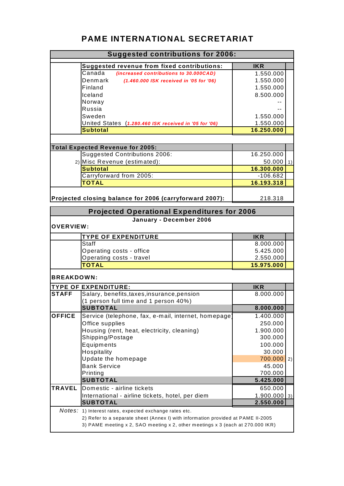# **PAME INTERNATIONAL SECRETARIAT**

| <b>Suggested contributions for 2006:</b> |                                                                                                                                                                    |                          |               |  |
|------------------------------------------|--------------------------------------------------------------------------------------------------------------------------------------------------------------------|--------------------------|---------------|--|
|                                          | <b>Suggested revenue from fixed contributions:</b>                                                                                                                 | <b>IKR</b>               |               |  |
|                                          | Canada<br>(increased contributions to 30.000CAD)                                                                                                                   | 1.550.000                |               |  |
|                                          | Denmark<br>(1.460.000 ISK received in '05 for '06)                                                                                                                 | 1.550.000                |               |  |
|                                          | Finland                                                                                                                                                            | 1.550.000                |               |  |
|                                          | Iceland                                                                                                                                                            | 8.500.000                |               |  |
|                                          | Norway                                                                                                                                                             |                          |               |  |
|                                          | Russia                                                                                                                                                             |                          |               |  |
|                                          | Sweden                                                                                                                                                             | 1.550.000                |               |  |
|                                          | United States (1.280.460 ISK received in '05 for '06)                                                                                                              | 1.550.000                |               |  |
|                                          | <b>Subtotal</b>                                                                                                                                                    | 16.250.000               |               |  |
|                                          |                                                                                                                                                                    |                          |               |  |
|                                          | <b>Total Expected Revenue for 2005:</b>                                                                                                                            |                          |               |  |
|                                          | Suggested Contributions 2006:                                                                                                                                      | 16.250.000               |               |  |
|                                          | 2) Misc Revenue (estimated):                                                                                                                                       | $50.000$ 1)              |               |  |
|                                          | <b>Subtotal</b>                                                                                                                                                    | 16.300.000<br>$-106.682$ |               |  |
|                                          | Carryforward from 2005:<br><b>TOTAL</b>                                                                                                                            | 16.193.318               |               |  |
|                                          |                                                                                                                                                                    |                          |               |  |
|                                          | Projected closing balance for 2006 (carryforward 2007):<br>218.318                                                                                                 |                          |               |  |
|                                          | <b>Projected Operational Expenditures for 2006</b>                                                                                                                 |                          |               |  |
|                                          | January - December 2006                                                                                                                                            |                          |               |  |
| <b>OVERVIEW:</b>                         |                                                                                                                                                                    |                          |               |  |
|                                          | <b>TYPE OF EXPENDITURE</b>                                                                                                                                         | <b>IKR</b>               |               |  |
|                                          | Staff                                                                                                                                                              | 8.000.000                |               |  |
|                                          | Operating costs - office                                                                                                                                           | 5.425.000                |               |  |
|                                          | Operating costs - travel                                                                                                                                           | 2.550.000                |               |  |
|                                          | <b>TOTAL</b>                                                                                                                                                       | 15.975.000               |               |  |
| <b>BREAKDOWN:</b>                        |                                                                                                                                                                    |                          |               |  |
|                                          | <b>TYPE OF EXPENDITURE:</b>                                                                                                                                        | <b>IKR</b>               |               |  |
| <b>STAFF</b>                             | Salary, benefits, taxes, insurance, pension                                                                                                                        | 8.000.000                |               |  |
|                                          | (1 person full time and 1 person 40%)                                                                                                                              |                          |               |  |
|                                          | <b>SUBTOTAL</b>                                                                                                                                                    | 8.000.000                |               |  |
| <b>OFFICE</b>                            | Service (telephone, fax, e-mail, internet, homepage)                                                                                                               | 1.400.000                |               |  |
|                                          | Office supplies                                                                                                                                                    | 250.000                  |               |  |
|                                          | Housing (rent, heat, electricity, cleaning)                                                                                                                        | 1.900.000                |               |  |
|                                          | Shipping/Postage                                                                                                                                                   | 300.000                  |               |  |
|                                          | Equipments                                                                                                                                                         | 100.000                  |               |  |
|                                          | Hospitality                                                                                                                                                        | 30.000                   |               |  |
|                                          | Update the homepage                                                                                                                                                | 700.000                  | 2)            |  |
|                                          | <b>Bank Service</b>                                                                                                                                                | 45.000                   |               |  |
|                                          | Printing                                                                                                                                                           | 700.000                  |               |  |
|                                          | <b>SUBTOTAL</b>                                                                                                                                                    | 5.425.000                |               |  |
| <b>TRAVEL</b>                            | Domestic - airline tickets                                                                                                                                         | 650.000                  |               |  |
|                                          | International - airline tickets, hotel, per diem<br><b>SUBTOTAL</b>                                                                                                | 1.900.000<br>2.550.000   | $\frac{3}{2}$ |  |
|                                          |                                                                                                                                                                    |                          |               |  |
|                                          | Notes: 1) Interest rates, expected exchange rates etc.                                                                                                             |                          |               |  |
|                                          | 2) Refer to a separate sheet (Annex I) with information provided at PAME II-2005<br>3) PAME meeting x 2, SAO meeting x 2, other meetings x 3 (each at 270.000 IKR) |                          |               |  |
|                                          |                                                                                                                                                                    |                          |               |  |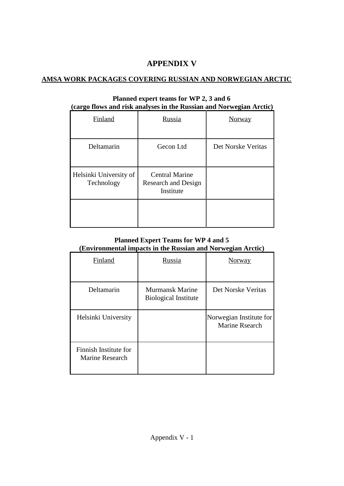# **APPENDIX V**

# **AMSA WORK PACKAGES COVERING RUSSIAN AND NORWEGIAN ARCTIC**

| <b>Finland</b>                       | <b>Russia</b>                                             | <b>Norway</b>      |
|--------------------------------------|-----------------------------------------------------------|--------------------|
| Deltamarin                           | Gecon Ltd                                                 | Det Norske Veritas |
| Helsinki University of<br>Technology | <b>Central Marine</b><br>Research and Design<br>Institute |                    |
|                                      |                                                           |                    |

## **Planned expert teams for WP 2, 3 and 6 (cargo flows and risk analyses in the Russian and Norwegian Arctic)**

# **Planned Expert Teams for WP 4 and 5 (Environmental impacts in the Russian and Norwegian Arctic)**

| Finland                                  | Russia                                         | <b>Norway</b>                             |
|------------------------------------------|------------------------------------------------|-------------------------------------------|
| Deltamarin                               | Murmansk Marine<br><b>Biological Institute</b> | Det Norske Veritas                        |
| Helsinki University                      |                                                | Norwegian Institute for<br>Marine Rsearch |
| Finnish Institute for<br>Marine Research |                                                |                                           |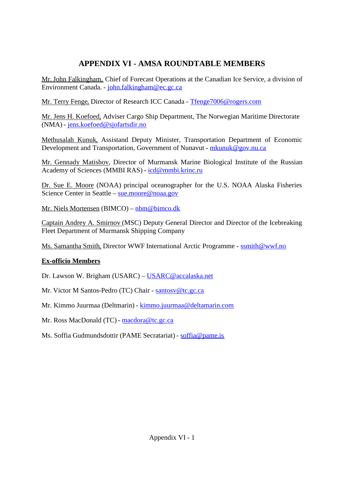# **APPENDIX VI - AMSA ROUNDTABLE MEMBERS**

Mr. John Falkingham, Chief of Forecast Operations at the Canadian Ice Service, a division of Environment Canada. - [john.falkingham@ec.gc.ca](mailto:john.falkingham@ec.gc.ca)

Mr. Terry Fenge, Director of Research ICC Canada - [Tfenge7006@rogers.com](mailto:Tfenge7006@rogers.com)

Mr. Jens H. Koefoed, Adviser Cargo Ship Department, The Norwegian Maritime Directorate (NMA) - [jens.koefoed@sjofartsdir.no](mailto:jens.koefoed@sjofartsdir.no)

Methusalah Kunuk, Assistand Deputy Minister, Transportation Department of Economic Development and Transportation, Government of Nunavut - [mkunuk@gov.nu.ca](mailto:mkunuk@gov.nu.ca)

Mr. Gennady Matishov, Director of Murmansk Marine Biological Institute of the Russian Academy of Sciences (MMBI RAS) - [icd@mmbi.krinc.ru](mailto:icd@mmbi.krinc.ru)

Dr. Sue E. Moore (NOAA) principal oceanographer for the U.S. NOAA Alaska Fisheries Science Center in Seattle – [sue.moore@noaa.gov](mailto:sue.moore@noaa.gov)

Mr. Niels Mortensen (BIMCO) – [nbm@bimco.dk](mailto:nbm@bimco.dk)

Captain Andrey A. Smirnov (MSC) Deputy General Director and Director of the Icebreaking Fleet Department of Murmansk Shipping Company

Ms. Samantha Smith, Director WWF International Arctic Programme - [ssmith@wwf.no](mailto:ssmith@wwf.no)

# **Ex-officio Members**

Dr. Lawson W. Brigham (USARC) – [USARC@accalaska.net](mailto:USARC@accalaska.net)

Mr. Victor M Santos-Pedro (TC) Chair - [santosv@tc.gc.ca](mailto:santosv@tc.gc.ca)

Mr. Kimmo Juurmaa (Deltmarin) - [kimmo.juurmaa@deltamarin.com](mailto:kimmo.juurmaa@deltamarin.com)

Mr. Ross MacDonald (TC) - [macdora@tc.gc.ca](mailto:macdora@tc.gc.ca)

Ms. Soffia Gudmundsdottir (PAME Secratariat) - [soffia@pame.is](mailto:soffia@pame.is)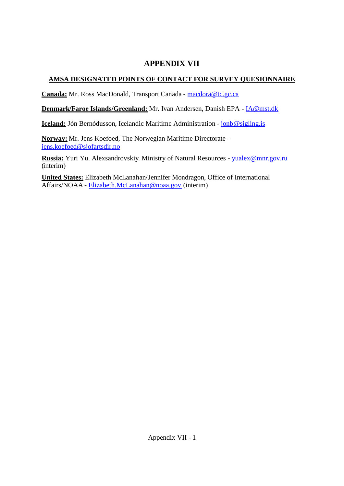# **APPENDIX VII**

# **AMSA DESIGNATED POINTS OF CONTACT FOR SURVEY QUESIONNAIRE**

**Canada:** Mr. Ross MacDonald, Transport Canada - [macdora@tc.gc.ca](mailto:macdora@tc.gc.ca)

**Denmark/Faroe Islands/Greenland:** Mr. Ivan Andersen, Danish EPA - [IA@mst.dk](mailto:IA@mst.dk)

**Iceland:** Jón Bernódusson, Icelandic Maritime Administration - jonb @sigling.is

**Norway:** Mr. Jens Koefoed, The Norwegian Maritime Directorate [jens.koefoed@sjofartsdir.no](mailto:jens.koefoed@sjofartsdir.no)

**Russia:** Yuri Yu. Alexsandrovskiy. Ministry of Natural Resources - [yualex@mnr.gov.ru](mailto:yualex@mnr.gov.ru) (interim)

**United States:** Elizabeth McLanahan/Jennifer Mondragon, Office of International Affairs/NOAA - [Elizabeth.McLanahan@noaa.gov](mailto:Elizabeth.McLanahan@noaa.gov) (interim)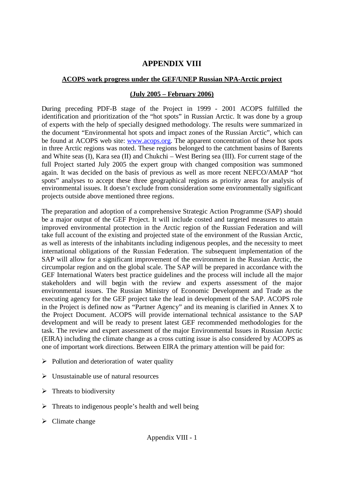# **APPENDIX VIII**

# **ACOPS work progress under the GEF/UNEP Russian NPA-Arctic project**

## **(July 2005 – February 2006)**

During preceding PDF-B stage of the Project in 1999 - 2001 ACOPS fulfilled the identification and prioritization of the "hot spots" in Russian Arctic. It was done by a group of experts with the help of specially designed methodology. The results were summarized in the document "Environmental hot spots and impact zones of the Russian Arctic", which can be found at ACOPS web site: [www.acops.org.](http://www.acops.org/) The apparent concentration of these hot spots in three Arctic regions was noted. These regions belonged to the catchment basins of Barents and White seas (I), Kara sea (II) and Chukchi – West Bering sea (III). For current stage of the full Project started July 2005 the expert group with changed composition was summoned again. It was decided on the basis of previous as well as more recent NEFCO/AMAP "hot spots" analyses to accept these three geographical regions as priority areas for analysis of environmental issues. It doesn't exclude from consideration some environmentally significant projects outside above mentioned three regions.

The preparation and adoption of a comprehensive Strategic Action Programme (SAP) should be a major output of the GEF Project. It will include costed and targeted measures to attain improved environmental protection in the Arctic region of the Russian Federation and will take full account of the existing and projected state of the environment of the Russian Arctic, as well as interests of the inhabitants including indigenous peoples, and the necessity to meet international obligations of the Russian Federation. The subsequent implementation of the SAP will allow for a significant improvement of the environment in the Russian Arctic, the circumpolar region and on the global scale. The SAP will be prepared in accordance with the GEF International Waters best practice guidelines and the process will include all the major stakeholders and will begin with the review and experts assessment of the major environmental issues. The Russian Ministry of Economic Development and Trade as the executing agency for the GEF project take the lead in development of the SAP. ACOPS role in the Project is defined now as "Partner Agency" and its meaning is clarified in Annex X to the Project Document. ACOPS will provide international technical assistance to the SAP development and will be ready to present latest GEF recommended methodologies for the task. The review and expert assessment of the major Environmental Issues in Russian Arctic (EIRA) including the climate change as a cross cutting issue is also considered by ACOPS as one of important work directions. Between EIRA the primary attention will be paid for:

- $\triangleright$  Pollution and deterioration of water quality
- $\triangleright$  Unsustainable use of natural resources
- $\triangleright$  Threats to biodiversity
- $\triangleright$  Threats to indigenous people's health and well being
- $\triangleright$  Climate change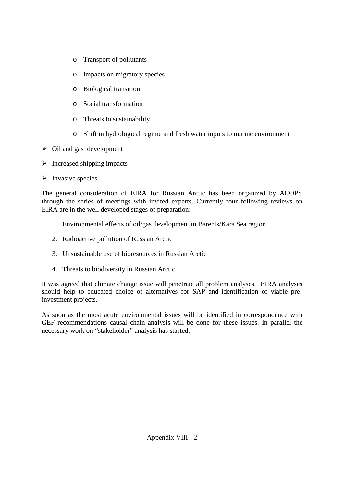- o Transport of pollutants
- o Impacts on migratory species
- o Biological transition
- o Social transformation
- o Threats to sustainability
- o Shift in hydrological regime and fresh water inputs to marine environment
- $\triangleright$  Oil and gas development
- $\triangleright$  Increased shipping impacts
- $\triangleright$  Invasive species

The general consideration of EIRA for Russian Arctic has been organized by ACOPS through the series of meetings with invited experts. Currently four following reviews on EIRA are in the well developed stages of preparation:

- 1. Environmental effects of oil/gas development in Barents/Kara Sea region
- 2. Radioactive pollution of Russian Arctic
- 3. Unsustainable use of bioresources in Russian Arctic
- 4. Threats to biodiversity in Russian Arctic

It was agreed that climate change issue will penetrate all problem analyses. EIRA analyses should help to educated choice of alternatives for SAP and identification of viable preinvestment projects.

As soon as the most acute environmental issues will be identified in correspondence with GEF recommendations causal chain analysis will be done for these issues. In parallel the necessary work on "stakeholder" analysis has started.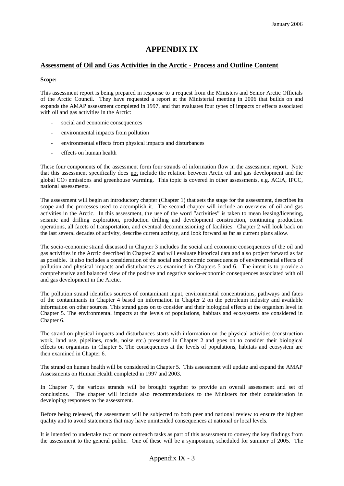## **APPENDIX IX**

### **Assessment of Oil and Gas Activities in the Arctic - Process and Outline Content**

### **Scope:**

This assessment report is being prepared in response to a request from the Ministers and Senior Arctic Officials of the Arctic Council. They have requested a report at the Ministerial meeting in 2006 that builds on and expands the AMAP assessment completed in 1997, and that evaluates four types of impacts or effects associated with oil and gas activities in the Arctic:

- social and economic consequences
- environmental impacts from pollution
- environmental effects from physical impacts and disturbances
- effects on human health

These four components of the assessment form four strands of information flow in the assessment report. Note that this assessment specifically does not include the relation between Arctic oil and gas development and the global  $CO<sub>2</sub>$  emissions and greenhouse warming. This topic is covered in other assessments, e.g. ACIA, IPCC, national assessments.

The assessment will begin an introductory chapter (Chapter 1) that sets the stage for the assessment, describes its scope and the processes used to accomplish it. The second chapter will include an overview of oil and gas activities in the Arctic. In this assessment, the use of the word "activities" is taken to mean leasing/licensing, seismic and drilling exploration, production drilling and development construction, continuing production operations, all facets of transportation, and eventual decommissioning of facilities. Chapter 2 will look back on the last several decades of activity, describe current activity, and look forward as far as current plans allow.

The socio-economic strand discussed in Chapter 3 includes the social and economic consequences of the oil and gas activities in the Arctic described in Chapter 2 and will evaluate historical data and also project forward as far as possible. It also includes a consideration of the social and economic consequences of environmental effects of pollution and physical impacts and disturbances as examined in Chapters 5 and 6. The intent is to provide a comprehensive and balanced view of the positive and negative socio-economic consequences associated with oil and gas development in the Arctic.

The pollution strand identifies sources of contaminant input, environmental concentrations, pathways and fates of the contaminants in Chapter 4 based on information in Chapter 2 on the petroleum industry and available information on other sources. This strand goes on to consider and their biological effects at the organism level in Chapter 5. The environmental impacts at the levels of populations, habitats and ecosystems are considered in Chapter 6.

The strand on physical impacts and disturbances starts with information on the physical activities (construction work, land use, pipelines, roads, noise etc.) presented in Chapter 2 and goes on to consider their biological effects on organisms in Chapter 5. The consequences at the levels of populations, habitats and ecosystem are then examined in Chapter 6.

The strand on human health will be considered in Chapter 5. This assessment will update and expand the AMAP Assessments on Human Health completed in 1997 and 2003.

In Chapter 7, the various strands will be brought together to provide an overall assessment and set of conclusions. The chapter will include also recommendations to the Ministers for their consideration in developing responses to the assessment.

Before being released, the assessment will be subjected to both peer and national review to ensure the highest quality and to avoid statements that may have unintended consequences at national or local levels.

It is intended to undertake two or more outreach tasks as part of this assessment to convey the key findings from the assessment to the general public. One of these will be a symposium, scheduled for summer of 2005. The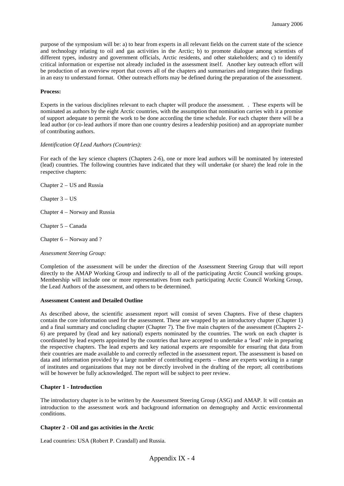purpose of the symposium will be: a) to hear from experts in all relevant fields on the current state of the science and technology relating to oil and gas activities in the Arctic; b) to promote dialogue among scientists of different types, industry and government officials, Arctic residents, and other stakeholders; and c) to identify critical information or expertise not already included in the assessment itself. Another key outreach effort will be production of an overview report that covers all of the chapters and summarizes and integrates their findings in an easy to understand format. Other outreach efforts may be defined during the preparation of the assessment.

### **Process:**

Experts in the various disciplines relevant to each chapter will produce the assessment. . These experts will be nominated as authors by the eight Arctic countries, with the assumption that nomination carries with it a promise of support adequate to permit the work to be done according the time schedule. For each chapter there will be a lead author (or co-lead authors if more than one country desires a leadership position) and an appropriate number of contributing authors.

#### *Identification Of Lead Authors (Countries):*

For each of the key science chapters (Chapters 2-6), one or more lead authors will be nominated by interested (lead) countries. The following countries have indicated that they will undertake (or share) the lead role in the respective chapters:

Chapter 2 – US and Russia

Chapter 3 – US

Chapter 4 – Norway and Russia

Chapter 5 – Canada

Chapter 6 – Norway and ?

### *Assessment Steering Group:*

Completion of the assessment will be under the direction of the Assessment Steering Group that will report directly to the AMAP Working Group and indirectly to all of the participating Arctic Council working groups. Membership will include one or more representatives from each participating Arctic Council Working Group, the Lead Authors of the assessment, and others to be determined.

### **Assessment Content and Detailed Outline**

As described above, the scientific assessment report will consist of seven Chapters. Five of these chapters contain the core information used for the assessment. These are wrapped by an introductory chapter (Chapter 1) and a final summary and concluding chapter (Chapter 7). The five main chapters of the assessment (Chapters 2- 6) are prepared by (lead and key national) experts nominated by the countries. The work on each chapter is coordinated by lead experts appointed by the countries that have accepted to undertake a 'lead' role in preparing the respective chapters. The lead experts and key national experts are responsible for ensuring that data from their countries are made available to and correctly reflected in the assessment report. The assessment is based on data and information provided by a large number of contributing experts – these are experts working in a range of institutes and organizations that may not be directly involved in the drafting of the report; all contributions will be however be fully acknowledged. The report will be subject to peer review.

### **Chapter 1 - Introduction**

The introductory chapter is to be written by the Assessment Steering Group (ASG) and AMAP. It will contain an introduction to the assessment work and background information on demography and Arctic environmental conditions.

### **Chapter 2 - Oil and gas activities in the Arctic**

Lead countries: USA (Robert P. Crandall) and Russia.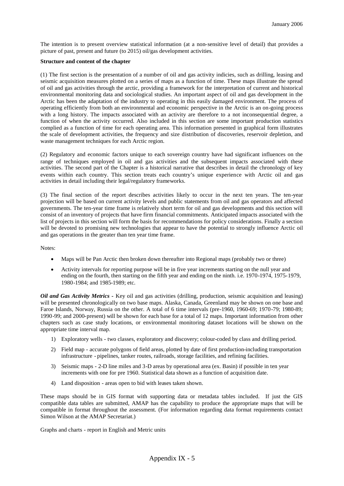The intention is to present overview statistical information (at a non-sensitive level of detail) that provides a picture of past, present and future (to 2015) oil/gas development activities.

### **Structure and content of the chapter**

(1) The first section is the presentation of a number of oil and gas activity indicies, such as drilling, leasing and seismic acquisition measures plotted on a series of maps as a function of time. These maps illustrate the spread of oil and gas activities through the arctic, providing a framework for the interpretation of current and historical environmental monitoring data and sociological studies. An important aspect of oil and gas development in the Arctic has been the adaptation of the industry to operating in this easily damaged environment. The process of operating efficiently from both an environmental and economic perspective in the Arctic is an on-going process with a long history. The impacts associated with an activity are therefore to a not inconsequential degree, a function of when the activity occurred. Also included in this section are some important production statistics complied as a function of time for each operating area. This information presented in graphical form illustrates the scale of development activities, the frequency and size distribution of discoveries, reservoir depletion, and waste management techniques for each Arctic region.

(2) Regulatory and economic factors unique to each sovereign country have had significant influences on the range of techniques employed in oil and gas activities and the subsequent impacts associated with these activities. The second part of the Chapter is a historical narrative that describes in detail the chronology of key events within each country. This section treats each country's unique experience with Arctic oil and gas activities in detail including their legal/regulatory frameworks.

(3) The final section of the report describes activities likely to occur in the next ten years. The ten-year projection will be based on current activity levels and public statements from oil and gas operators and affected governments. The ten-year time frame is relatively short term for oil and gas developments and this section will consist of an inventory of projects that have firm financial commitments. Anticipated impacts associated with the list of projects in this section will form the basis for recommendations for policy considerations. Finally a section will be devoted to promising new technologies that appear to have the potential to strongly influence Arctic oil and gas operations in the greater than ten year time frame.

Notes:

- Maps will be Pan Arctic then broken down thereafter into Regional maps (probably two or three)
- Activity intervals for reporting purpose will be in five year increments starting on the null year and ending on the fourth, then starting on the fifth year and ending on the ninth. i.e. 1970-1974, 1975-1979, 1980-1984; and 1985-1989; etc.

*Oil and Gas Activity Metrics -* Key oil and gas activities (drilling, production, seismic acquisition and leasing) will be presented chronologically on two base maps. Alaska, Canada, Greenland may be shown on one base and Faroe Islands, Norway, Russia on the other. A total of 6 time intervals (pre-1960, 1960-69; 1970-79; 1980-89; 1990-99; and 2000-present) will be shown for each base for a total of 12 maps. Important information from other chapters such as case study locations, or environmental monitoring dataset locations will be shown on the appropriate time interval map.

- 1) Exploratory wells two classes, exploratory and discovery; colour-coded by class and drilling period.
- 2) Field map accurate polygons of field areas, plotted by date of first production-including transportation infrastructure - pipelines, tanker routes, railroads, storage facilities, and refining facilities.
- 3) Seismic maps 2-D line miles and 3-D areas by operational area (ex. Basin) if possible in ten year increments with one for pre 1960. Statistical data shown as a function of acquisition date.
- 4) Land disposition areas open to bid with leases taken shown.

These maps should be in GIS format with supporting data or metadata tables included. If just the GIS compatible data tables are submitted, AMAP has the capability to produce the appropriate maps that will be compatible in format throughout the assessment. (For information regarding data format requirements contact Simon Wilson at the AMAP Secretariat.)

Graphs and charts - report in English and Metric units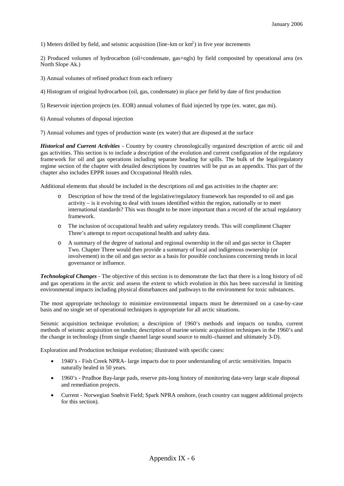1) Meters drilled by field, and seismic acquisition (line-km or  $km<sup>2</sup>$ ) in five year increments

2) Produced volumes of hydrocarbon (oil+condensate, gas+ngls) by field composited by operational area (ex North Slope Ak.)

- 3) Annual volumes of refined product from each refinery
- 4) Histogram of original hydrocarbon (oil, gas, condensate) in place per field by date of first production
- 5) Reservoir injection projects (ex. EOR) annual volumes of fluid injected by type (ex. water, gas mi).
- 6) Annual volumes of disposal injection

7) Annual volumes and types of production waste (ex water) that are disposed at the surface

*Historical and Current Activities -* Country by country chronologically organized description of arctic oil and gas activities. This section is to include a description of the evolution and current configuration of the regulatory framework for oil and gas operations including separate heading for spills. The bulk of the legal/regulatory regime section of the chapter with detailed descriptions by countries will be put as an appendix. This part of the chapter also includes EPPR issues and Occupational Health rules.

Additional elements that should be included in the descriptions oil and gas activities in the chapter are:

- Description of how the trend of the legislative/regulatory framework has responded to oil and gas activity – is it evolving to deal with issues identified within the region, nationally or to meet international standards? This was thought to be more important than a record of the actual regulatory framework.
- o The inclusion of occupational health and safety regulatory trends. This will compliment Chapter Three's attempt to report occupational health and safety data.
- A summary of the degree of national and regional ownership in the oil and gas sector in Chapter Two. Chapter Three would then provide a summary of local and indigenous ownership (or involvement) in the oil and gas sector as a basis for possible conclusions concerning trends in local governance or influence.

*Technological Changes -* The objective of this section is to demonstrate the fact that there is a long history of oil and gas operations in the arctic and assess the extent to which evolution in this has been successful in limiting environmental impacts including physical disturbances and pathways to the environment for toxic substances.

The most appropriate technology to minimize environmental impacts must be determined on a case-by-case basis and no single set of operational techniques is appropriate for all arctic situations.

Seismic acquisition technique evolution; a description of 1960's methods and impacts on tundra, current methods of seismic acquisition on tundra; description of marine seismic acquisition techniques in the 1960's and the change in technology (from single channel large sound source to multi-channel and ultimately 3-D).

Exploration and Production technique evolution; illustrated with specific cases:

- 1940's Fish Creek NPRA- large impacts due to poor understanding of arctic sensitivities. Impacts naturally healed in 50 years.
- 1960's Prudhoe Bay-large pads, reserve pits-long history of monitoring data-very large scale disposal and remediation projects.
- Current Norwegian Snøhvit Field; Spark NPRA onshore, (each country can suggest additional projects for this section).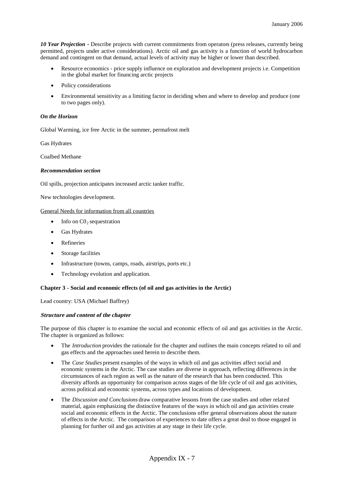*10 Year Projection -* Describe projects with current commitments from operators (press releases, currently being permitted, projects under active considerations). Arctic oil and gas activity is a function of world hydrocarbon demand and contingent on that demand, actual levels of activity may be higher or lower than described.

- Resource economics price supply influence on exploration and development projects i.e. Competition in the global market for financing arctic projects
- Policy considerations
- Environmental sensitivity as a limiting factor in deciding when and where to develop and produce (one to two pages only).

### *On the Horizon*

Global Warming, ice free Arctic in the summer, permafrost melt

Gas Hydrates

Coalbed Methane

### *Recommendation section*

Oil spills, projection anticipates increased arctic tanker traffic.

New technologies development.

### General Needs for information from all countries

- Info on  $CO_2$  sequestration
- Gas Hydrates
- Refineries
- Storage facilities
- Infrastructure (towns, camps, roads, airstrips, ports etc.)
- Technology evolution and application.

### **Chapter 3 - Social and economic effects (of oil and gas activities in the Arctic)**

Lead country: USA (Michael Baffrey)

### **Structure and content of the chapter**

The purpose of this chapter is to examine the social and economic effects of oil and gas activities in the Arctic. The chapter is organized as follows:

- The *Introduction* provides the rationale for the chapter and outlines the main concepts related to oil and gas effects and the approaches used herein to describe them.
- The *Case Studies* present examples of the ways in which oil and gas activities affect social and economic systems in the Arctic. The case studies are diverse in approach, reflecting differences in the circumstances of each region as well as the nature of the research that has been conducted. This diversity affords an opportunity for comparison across stages of the life cycle of oil and gas activities, across political and economic systems, across types and locations of development.
- The *Discussion and Conclusions* draw comparative lessons from the case studies and other related material, again emphasizing the distinctive features of the ways in which oil and gas activities create social and economic effects in the Arctic. The conclusions offer general observations about the nature of effects in the Arctic. The comparison of experiences to date offers a great deal to those engaged in planning for further oil and gas activities at any stage in their life cycle.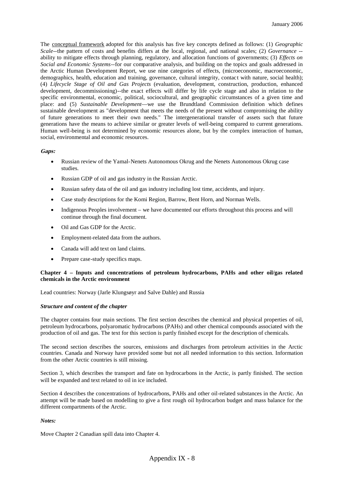The conceptual framework adopted for this analysis has five key concepts defined as follows: (1) *Geographic Scale*--the pattern of costs and benefits differs at the local, regional, and national scales; (2) *Governance* - ability to mitigate effects through planning, regulatory, and allocation functions of governments; (3) *Effects on Social and Economic Systems*--for our comparative analysis, and building on the topics and goals addressed in the Arctic Human Development Report, we use nine categories of effects, (microeconomic, macroeconomic, demographics, health, education and training, governance, cultural integrity, contact with nature, social health); (4) *Lifecycle Stage of Oil and Gas Projects* (evaluation, development, construction, production, enhanced development, decommissioning)--the exact effects will differ by life cycle stage and also in relation to the specific environmental, economic, political, sociocultural, and geographic circumstances of a given time and place: and (5) *Sustainable Development*—we use the Brundtland Commission definition which defines sustainable development as "development that meets the needs of the present without compromising the ability of future generations to meet their own needs." The intergenerational transfer of assets such that future generations have the means to achieve similar or greater levels of well-being compared to current generations. Human well-being is not determined by economic resources alone, but by the complex interaction of human, social, environmental and economic resources.

### **Gaps:**

- Russian review of the Yamal-Nenets Autonomous Okrug and the Nenets Autonomous Okrug case studies.
- Russian GDP of oil and gas industry in the Russian Arctic.
- Russian safety data of the oil and gas industry including lost time, accidents, and injury.
- Case study descriptions for the Komi Region, Barrow, Bent Horn, and Norman Wells.
- Indigenous Peoples involvement we have documented our efforts throughout this process and will continue through the final document.
- Oil and Gas GDP for the Arctic.
- Employment-related data from the authors.
- Canada will add text on land claims.
- Prepare case-study specifics maps.

### **Chapter 4 – Inputs and concentrations of petroleum hydrocarbons, PAHs and other oil/gas related chemicals in the Arctic environment**

Lead countries: Norway (Jarle Klungsøyr and Salve Dahle) and Russia

### *Structure and content of the chapter*

The chapter contains four main sections. The first section describes the chemical and physical properties of oil, petroleum hydrocarbons, polyaromatic hydrocarbons (PAHs) and other chemical compounds associated with the production of oil and gas. The text for this section is partly finished except for the description of chemicals.

The second section describes the sources, emissions and discharges from petroleum activities in the Arctic countries. Canada and Norway have provided some but not all needed information to this section. Information from the other Arctic countries is still missing.

Section 3, which describes the transport and fate on hydrocarbons in the Arctic, is partly finished. The section will be expanded and text related to oil in ice included.

Section 4 describes the concentrations of hydrocarbons, PAHs and other oil-related substances in the Arctic. An attempt will be made based on modelling to give a first rough oil hydrocarbon budget and mass balance for the different compartments of the Arctic.

### *Notes:*

Move Chapter 2 Canadian spill data into Chapter 4.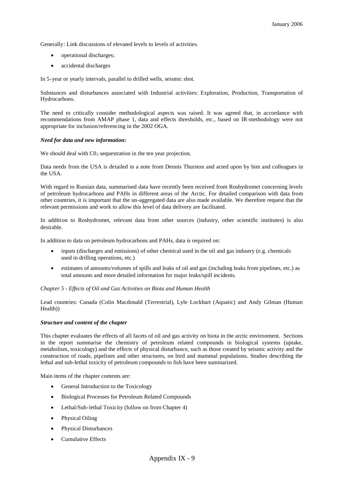Generally: Link discussions of elevated levels to levels of activities.

- operational discharges;
- accidental discharges

In 5-year or yearly intervals, parallel to drilled wells, seismic shot.

Substances and disturbances associated with Industrial activities: Exploration, Production, Transportation of Hydrocarbons.

The need to critically consider methodological aspects was raised. It was agreed that, in accordance with recommendations from AMAP phase 1, data and effects thresholds, etc., based on IR-methodology were not appropriate for inclusion/referencing in the 2002 OGA.

### *Need for data and new information:*

We should deal with  $CO<sub>2</sub>$  sequestration in the ten year projection.

Data needs from the USA is detailed in a note from Dennis Thurston and acted upon by him and colleagues in the USA.

With regard to Russian data, summarised data have recently been received from Roshydromet concerning levels of petroleum hydrocarbons and PAHs in different areas of the Arctic. For detailed comparison with data from other countries, it is important that the un-aggregated data are also made available. We therefore request that the relevant permissions and work to allow this level of data delivery are facilitated.

In addition to Roshydromet, relevant data from other sources (industry, other scientific institutes) is also desirable.

In addition to data on petroleum hydrocarbons and PAHs, data is required on:

- inputs (discharges and emissions) of other chemical used in the oil and gas industry (e.g. chemicals used in drilling operations, etc.)
- estimates of amounts/volumes of spills and leaks of oil and gas (including leaks from pipelines, etc.) as total amounts and more detailed information for major leaks/spill incidents.

### *Chapter 5 - Effects of Oil and Gas Activities on Biota and Human Health*

Lead countries: Canada (Colin Macdonald (Terrestrial), Lyle Lockhart (Aquatic) and Andy Gilman (Human Health))

### *Structure and content of the chapter*

This chapter evaluates the effects of all facets of oil and gas activity on biota in the arctic environment. Sections in the report summarise the chemistry of petroleum related compounds in biological systems (uptake, metabolism, toxicology) and the effects of physical disturbance, such as those created by seismic activity and the construction of roads, pipelines and other structures, on bird and mammal populations. Studies describing the lethal and sub-lethal toxicity of petroleum compounds to fish have been summarized.

Main items of the chapter contents are:

- General Introduction to the Toxicology
- Biological Processes for Petroleum Related Compounds
- Lethal/Sub-lethal Toxicity (follow on from Chapter 4)
- Physical Oiling
- Physical Disturbances
- Cumulative Effects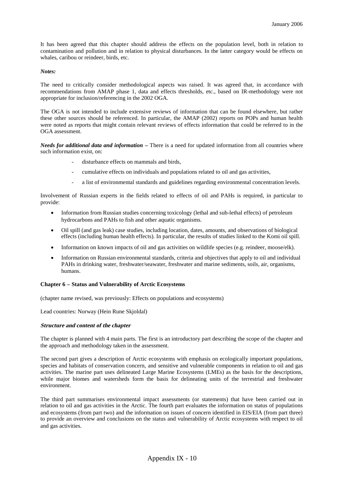It has been agreed that this chapter should address the effects on the population level, both in relation to contamination and pollution and in relation to physical disturbances. In the latter category would be effects on whales, caribou or reindeer, birds, etc.

### *Notes:*

The need to critically consider methodological aspects was raised. It was agreed that, in accordance with recommendations from AMAP phase 1, data and effects thresholds, etc., based on IR-methodology were not appropriate for inclusion/referencing in the 2002 OGA.

The OGA is not intended to include extensive reviews of information that can be found elsewhere, but rather these other sources should be referenced. In particular, the AMAP (2002) reports on POPs and human health were noted as reports that might contain relevant reviews of effects information that could be referred to in the OGA assessment.

*Needs for additional data and information –* There is a need for updated information from all countries where such information exist, on:

- disturbance effects on mammals and birds,
- cumulative effects on individuals and populations related to oil and gas activities,
- a list of environmental standards and guidelines regarding environmental concentration levels.

Involvement of Russian experts in the fields related to effects of oil and PAHs is required, in particular to provide:

- Information from Russian studies concerning toxicology (lethal and sub-lethal effects) of petroleum hydrocarbons and PAHs to fish and other aquatic organisms.
- Oil spill (and gas leak) case studies, including location, dates, amounts, and observations of biological effects (including human health effects). In particular, the results of studies linked to the Komi oil spill.
- Information on known impacts of oil and gas activities on wildlife species (e.g. reindeer, moose/elk).
- Information on Russian environmental standards, criteria and objectives that apply to oil and individual PAHs in drinking water, freshwater/seawater, freshwater and marine sediments, soils, air, organisms, humans.

### **Chapter 6 – Status and Vulnerability of Arctic Ecosystems**

(chapter name revised, was previously: Effects on populations and ecosystems)

Lead countries: Norway (Hein Rune Skjoldal)

### **Structure and content of the chapter**

The chapter is planned with 4 main parts. The first is an introductory part describing the scope of the chapter and the approach and methodology taken in the assessment.

The second part gives a description of Arctic ecosystems with emphasis on ecologically important populations, species and habitats of conservation concern, and sensitive and vulnerable components in relation to oil and gas activities. The marine part uses delineated Large Marine Ecosystems (LMEs) as the basis for the descriptions, while major biomes and watersheds form the basis for delineating units of the terrestrial and freshwater environment.

The third part summarises environmental impact assessments (or statements) that have been carried out in relation to oil and gas activities in the Arctic. The fourth part evaluates the information on status of populations and ecosystems (from part two) and the information on issues of concern identified in EIS/EIA (from part three) to provide an overview and conclusions on the status and vulnerability of Arctic ecosystems with respect to oil and gas activities.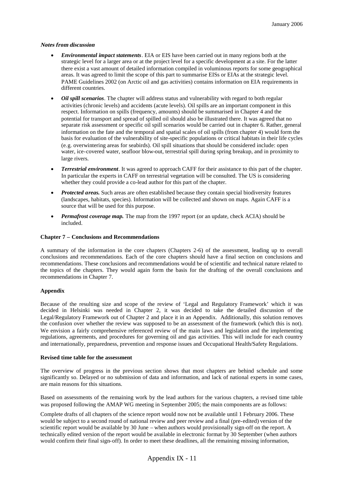### **Notes from discussion**

- *Environmental impact statements*. EIA or EIS have been carried out in many regions both at the strategic level for a larger area or at the project level for a specific development at a site. For the latter there exist a vast amount of detailed information compiled in voluminous reports for some geographical areas. It was agreed to limit the scope of this part to summarise EISs or EIAs at the strategic level. PAME Guidelines 2002 (on Arctic oil and gas activities) contains information on EIA requirements in different countries.
- *Oil spill scenarios*. The chapter will address status and vulnerability with regard to both regular activities (chronic levels) and accidents (acute levels). Oil spills are an important component in this respect. Information on spills (frequency, amounts) should be summarised in Chapter 4 and the potential for transport and spread of spilled oil should also be illustrated there. It was agreed that no separate risk assessment or specific oil spill scenarios would be carried out in chapter 6. Rather, general information on the fate and the temporal and spatial scales of oil spills (from chapter 4) would form the basis for evaluation of the vulnerability of site-specific populations or critical habitats in their life cycles (e.g. overwintering areas for seabirds). Oil spill situations that should be considered include: open water, ice-covered water, seafloor blow-out, terrestrial spill during spring breakup, and in proximity to large rivers.
- *Terrestrial environment*. It was agreed to approach CAFF for their assistance to this part of the chapter. In particular the experts in CAFF on terrestrial vegetation will be consulted. The US is considering whether they could provide a co-lead author for this part of the chapter.
- *Protected areas.* Such areas are often established because they contain special biodiversity features (landscapes, habitats, species). Information will be collected and shown on maps. Again CAFF is a source that will be used for this purpose.
- *Permafrost coverage map.* The map from the 1997 report (or an update, check ACIA) should be included.

### **Chapter 7 – Conclusions and Recommendations**

A summary of the information in the core chapters (Chapters 2-6) of the assessment, leading up to overall conclusions and recommendations. Each of the core chapters should have a final section on conclusions and recommendations. These conclusions and recommendations would be of scientific and technical nature related to the topics of the chapters. They would again form the basis for the drafting of the overall conclusions and recommendations in Chapter 7.

### **Appendix**

Because of the resulting size and scope of the review of 'Legal and Regulatory Framework' which it was decided in Helsinki was needed in Chapter 2, it was decided to take the detailed discussion of the Legal/Regulatory Framework out of Chapter 2 and place it in an Appendix. Additionally, this solution removes the confusion over whether the review was supposed to be an assessment of the framework (which this is not). We envision a fairly comprehensive referenced review of the main laws and legislation and the implementing regulations, agreements, and procedures for governing oil and gas activities. This will include for each country and internationally, preparedness, prevention and response issues and Occupational Health/Safety Regulations.

### **Revised time table for the assessment**

The overview of progress in the previous section shows that most chapters are behind schedule and some significantly so. Delayed or no submission of data and information, and lack of national experts in some cases, are main reasons for this situations.

Based on assessments of the remaining work by the lead authors for the various chapters, a revised time table was proposed following the AMAP WG meeting in September 2005; the main components are as follows:

Complete drafts of all chapters of the science report would now not be available until 1 February 2006. These would be subject to a second round of national review and peer review and a final (pre-edited) version of the scientific report would be available by 30 June – when authors would provisionally sign-off on the report. A technically edited version of the report would be available in electronic format by 30 September (when authors would confirm their final sign-off). In order to meet these deadlines, all the remaining missing information,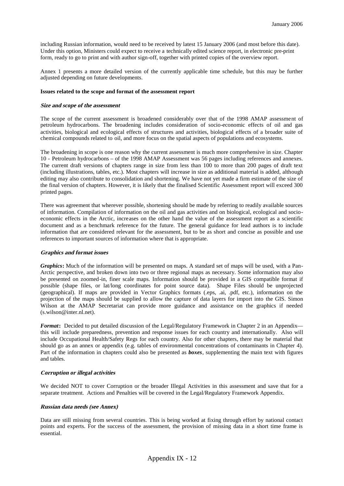including Russian information, would need to be received by latest 15 January 2006 (and most before this date). Under this option, Ministers could expect to receive a technically edited science report, in electronic pre-print form, ready to go to print and with author sign-off, together with printed copies of the overview report.

Annex 1 presents a more detailed version of the currently applicable time schedule, but this may be further adjusted depending on future developments.

### **Issues related to the scope and format of the assessment report**

### **Size and scope of the assessment**

The scope of the current assessment is broadened considerably over that of the 1998 AMAP assessment of petroleum hydrocarbons. The broadening includes consideration of socio-economic effects of oil and gas activities, biological and ecological effects of structures and activities, biological effects of a broader suite of chemical compounds related to oil, and more focus on the spatial aspects of populations and ecosystems.

The broadening in scope is one reason why the current assessment is much more comprehensive in size. Chapter 10 - Petroleum hydrocarbons – of the 1998 AMAP Assessment was 56 pages including references and annexes. The current draft versions of chapters range in size from less than 100 to more than 200 pages of draft text (including illustrations, tables, etc.). Most chapters will increase in size as additional material is added, although editing may also contribute to consolidation and shortening. We have not yet made a firm estimate of the size of the final version of chapters. However, it is likely that the finalised Scientific Assessment report will exceed 300 printed pages.

There was agreement that wherever possible, shortening should be made by referring to readily available sources of information. Compilation of information on the oil and gas activities and on biological, ecological and socioeconomic effects in the Arctic, increases on the other hand the value of the assessment report as a scientific document and as a benchmark reference for the future. The general guidance for lead authors is to include information that are considered relevant for the assessment, but to be as short and concise as possible and use references to important sources of information where that is appropriate.

### **Graphics and format issues**

*Graphics***:** Much of the information will be presented on maps. A standard set of maps will be used, with a Pan-Arctic perspective, and broken down into two or three regional maps as necessary. Some information may also be presented on zoomed-in, finer scale maps. Information should be provided in a GIS compatible format if possible (shape files, or lat/long coordinates for point source data). Shape Files should be unprojected (geographical). If maps are provided in Vector Graphics formats (.eps, .ai, .pdf, etc.), information on the projection of the maps should be supplied to allow the capture of data layers for import into the GIS. Simon Wilson at the AMAP Secretariat can provide more guidance and assistance on the graphics if needed (s.wilson@inter.nl.net).

*Format*: Decided to put detailed discussion of the Legal/Regulatory Framework in Chapter 2 in an Appendix this will include preparedness, prevention and response issues for each country and internationally. Also will include Occupational Health/Safety Regs for each country. Also for other chapters, there may be material that should go as an annex or appendix (e.g. tables of environmental concentrations of contaminants in Chapter 4). Part of the information in chapters could also be presented as *boxes*, supplementing the main text with figures and tables.

### **Corruption or illegal activities**

We decided NOT to cover Corruption or the broader Illegal Activities in this assessment and save that for a separate treatment. Actions and Penalties will be covered in the Legal/Regulatory Framework Appendix.

### **Russian data needs (see Annex)**

Data are still missing from several countries. This is being worked at fixing through effort by national contact points and experts. For the success of the assessment, the provision of missing data in a short time frame is essential.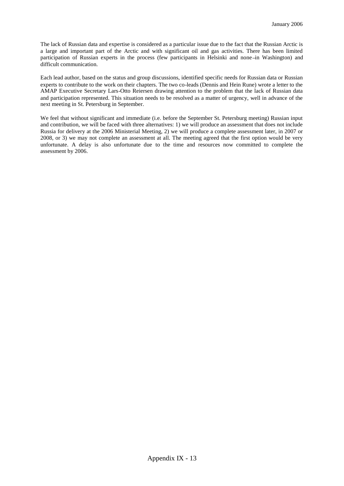The lack of Russian data and expertise is considered as a particular issue due to the fact that the Russian Arctic is a large and important part of the Arctic and with significant oil and gas activities. There has been limited participation of Russian experts in the process (few participants in Helsinki and none-in Washington) and difficult communication.

Each lead author, based on the status and group discussions, identified specific needs for Russian data or Russian experts to contribute to the work on their chapters. The two co-leads (Dennis and Hein Rune) wrote a letter to the AMAP Executive Secretary Lars-Otto Reiersen drawing attention to the problem that the lack of Russian data and participation represented. This situation needs to be resolved as a matter of urgency, well in advance of the next meeting in St. Petersburg in September.

We feel that without significant and immediate (i.e. before the September St. Petersburg meeting) Russian input and contribution, we will be faced with three alternatives: 1) we will produce an assessment that does not include Russia for delivery at the 2006 Ministerial Meeting, 2) we will produce a complete assessment later, in 2007 or 2008, or 3) we may not complete an assessment at all. The meeting agreed that the first option would be very unfortunate. A delay is also unfortunate due to the time and resources now committed to complete the assessment by 2006.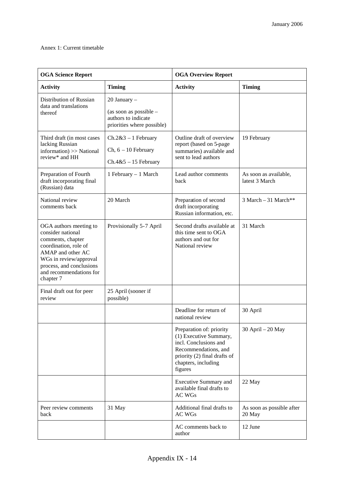## Annex 1: Current timetable

| <b>OGA Science Report</b>                                                                                                                                                                                    |                                                                                               | <b>OGA Overview Report</b>                                                                                                                                            |                                         |
|--------------------------------------------------------------------------------------------------------------------------------------------------------------------------------------------------------------|-----------------------------------------------------------------------------------------------|-----------------------------------------------------------------------------------------------------------------------------------------------------------------------|-----------------------------------------|
| <b>Activity</b>                                                                                                                                                                                              | <b>Timing</b>                                                                                 | <b>Activity</b>                                                                                                                                                       | <b>Timing</b>                           |
| Distribution of Russian<br>data and translations<br>thereof                                                                                                                                                  | 20 January -<br>(as soon as possible $-$<br>authors to indicate<br>priorities where possible) |                                                                                                                                                                       |                                         |
| Third draft (in most cases<br>lacking Russian<br>information) >> National<br>review* and HH                                                                                                                  | $Ch.2&3-1$ February<br>$Ch, 6 - 10$ February<br>$Ch.4&5-15$ February                          | Outline draft of overview<br>report (based on 5-page<br>summaries) available and<br>sent to lead authors                                                              | 19 February                             |
| Preparation of Fourth<br>draft incorporating final<br>(Russian) data                                                                                                                                         | 1 February - 1 March                                                                          | Lead author comments<br><b>back</b>                                                                                                                                   | As soon as available,<br>latest 3 March |
| National review<br>comments back                                                                                                                                                                             | 20 March                                                                                      | Preparation of second<br>draft incorporating<br>Russian information, etc.                                                                                             | $3$ March $-31$ March**                 |
| OGA authors meeting to<br>consider national<br>comments, chapter<br>coordination, role of<br>AMAP and other AC<br>WGs in review/approval<br>process, and conclusions<br>and recommendations for<br>chapter 7 | Provisionally 5-7 April                                                                       | Second drafts available at<br>this time sent to OGA<br>authors and out for<br>National review                                                                         | 31 March                                |
| Final draft out for peer<br>review                                                                                                                                                                           | 25 April (sooner if<br>possible)                                                              |                                                                                                                                                                       |                                         |
|                                                                                                                                                                                                              |                                                                                               | Deadline for return of<br>national review                                                                                                                             | 30 April                                |
|                                                                                                                                                                                                              |                                                                                               | Preparation of: priority<br>(1) Executive Summary,<br>incl. Conclusions and<br>Recommendations, and<br>priority (2) final drafts of<br>chapters, including<br>figures | $30$ April $-20$ May                    |
|                                                                                                                                                                                                              |                                                                                               | Executive Summary and<br>available final drafts to<br><b>AC WGs</b>                                                                                                   | 22 May                                  |
| Peer review comments<br>back                                                                                                                                                                                 | 31 May                                                                                        | Additional final drafts to<br><b>AC WGs</b>                                                                                                                           | As soon as possible after<br>20 May     |
|                                                                                                                                                                                                              |                                                                                               | AC comments back to<br>author                                                                                                                                         | 12 June                                 |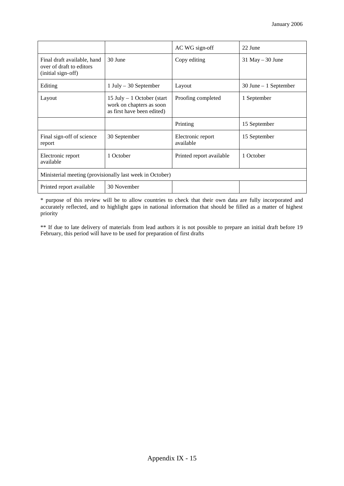|                                                                               |                                                                                        | AC WG sign-off                 | 22 June                  |  |  |
|-------------------------------------------------------------------------------|----------------------------------------------------------------------------------------|--------------------------------|--------------------------|--|--|
| Final draft available, hand<br>over of draft to editors<br>(initial sign-off) | 30 June                                                                                | Copy editing                   | $31$ May $-30$ June      |  |  |
| Editing                                                                       | $1$ July – 30 September                                                                | Layout                         | $30$ June $-1$ September |  |  |
| Layout                                                                        | 15 July $-1$ October (start)<br>work on chapters as soon<br>as first have been edited) | Proofing completed             | 1 September              |  |  |
|                                                                               |                                                                                        | Printing                       | 15 September             |  |  |
| Final sign-off of science<br>report                                           | 30 September                                                                           | Electronic report<br>available | 15 September             |  |  |
| Electronic report<br>available                                                | 1 October                                                                              | Printed report available       | 1 October                |  |  |
| Ministerial meeting (provisionally last week in October)                      |                                                                                        |                                |                          |  |  |
| Printed report available                                                      | 30 November                                                                            |                                |                          |  |  |

\* purpose of this review will be to allow countries to check that their own data are fully incorporated and accurately reflected, and to highlight gaps in national information that should be filled as a matter of highest priority

\*\* If due to late delivery of materials from lead authors it is not possible to prepare an initial draft before 19 February, this period will have to be used for preparation of first drafts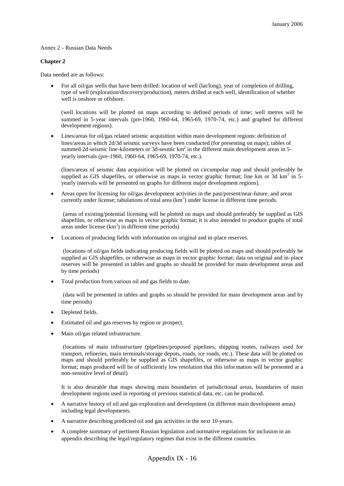### Annex 2 - Russian Data Needs

### **Chapter 2**

Data needed are as follows:

 For all oil/gas wells that have been drilled: location of well (lat/long), year of completion of drilling, type of well (exploration/discovery/production), meters drilled at each well, identification of whether well is onshore or offshore.

(well locations will be plotted on maps according to defined periods of time; well metres will be summed in 5-year intervals (pre-1960, 1960-64, 1965-69, 1970-74, etc.) and graphed for different development regions).

 Lines/areas for oil/gas related seismic acquisition within main development regions: definition of lines/areas in which 2d/3d seismic surveys have been conducted (for presenting on maps); tables of summed 2d-seismic line-kilometers or  $3d$ -sesmic km<sup>2</sup> in the different main development areas in 5yearly intervals (pre-1960, 1960-64, 1965-69, 1970-74, etc.).

(lines/areas of seismic data acquisition will be plotted on circumpolar map and should preferably be supplied as GIS shapefiles, or otherwise as maps in vector graphic format; line km or  $3d$  km<sup>2</sup> in 5yearly intervals will be presented on graphs for different major development regions).

 Areas open for licensing for oil/gas development activities in the past/present/near-future, and areas currently under license; tabulations of total area  $(km^2)$  under license in different time periods.

(areas of existing/potential licensing will be plotted on maps and should preferably be supplied as GIS shapefiles, or otherwise as maps in vector graphic format; it is also intended to produce graphs of total areas under license  $(km<sup>2</sup>)$  in different time periods)

Locations of producing fields with information on original and in-place reserves.

(locations of oil/gas fields indicating producing fields will be plotted on maps and should preferably be supplied as GIS shapefiles, or otherwise as maps in vector graphic format; data on original and in-place reserves will be presented in tables and graphs so should be provided for main development areas and by time periods)

Total production from various oil and gas fields to date.

(data will be presented in tables and graphs so should be provided for main development areas and by time periods)

- Depleted fields.
- Estimated oil and gas reserves by region or prospect.
- Main oil/gas related infrastructure.

(locations of main infrastructure (pipelines/proposed pipelines, shipping routes, railways used for transport, refineries, main terminals/storage depots, roads, ice roads, etc.). These data will be plotted on maps and should preferably be supplied as GIS shapefiles, or otherwise as maps in vector graphic format; maps produced will be of sufficiently low resolution that this information will be presented at a non-sensitive level of detail)

It is also desirable that maps showing main boundaries of jurisdictional areas, boundaries of main development regions used in reporting of previous statistical data, etc. can be produced.

- A narrative history of oil and gas exploration and development (in different main development areas) including legal developments.
- A narrative describing predicted oil and gas activities in the next 10-years.
- A complete summary of pertinent Russian legislation and normative regulations for inclusion in an appendix describing the legal/regulatory regimes that exist in the different countries.